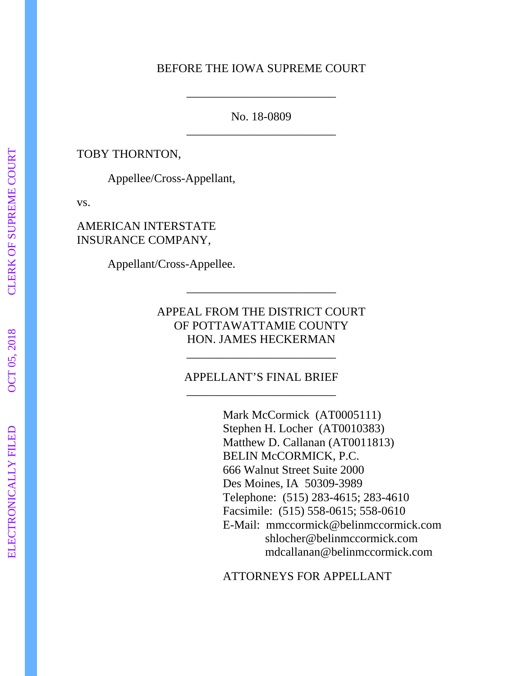## BEFORE THE IOWA SUPREME COURT

\_\_\_\_\_\_\_\_\_\_\_\_\_\_\_\_\_\_\_\_\_\_\_\_\_

No. 18-0809 \_\_\_\_\_\_\_\_\_\_\_\_\_\_\_\_\_\_\_\_\_\_\_\_\_

TOBY THORNTON,

Appellee/Cross-Appellant,

vs.

AMERICAN INTERSTATE INSURANCE COMPANY,

Appellant/Cross-Appellee.

APPEAL FROM THE DISTRICT COURT OF POTTAWATTAMIE COUNTY HON. JAMES HECKERMAN

\_\_\_\_\_\_\_\_\_\_\_\_\_\_\_\_\_\_\_\_\_\_\_\_\_

## APPELLANT'S FINAL BRIEF \_\_\_\_\_\_\_\_\_\_\_\_\_\_\_\_\_\_\_\_\_\_\_\_\_

\_\_\_\_\_\_\_\_\_\_\_\_\_\_\_\_\_\_\_\_\_\_\_\_\_

Mark McCormick (AT0005111) Stephen H. Locher (AT0010383) Matthew D. Callanan (AT0011813) BELIN McCORMICK, P.C. 666 Walnut Street Suite 2000 Des Moines, IA 50309-3989 Telephone: (515) 283-4615; 283-4610 Facsimile: (515) 558-0615; 558-0610 E-Mail: mmccormick@belinmccormick.com shlocher@belinmccormick.com mdcallanan@belinmccormick.com

ATTORNEYS FOR APPELLANT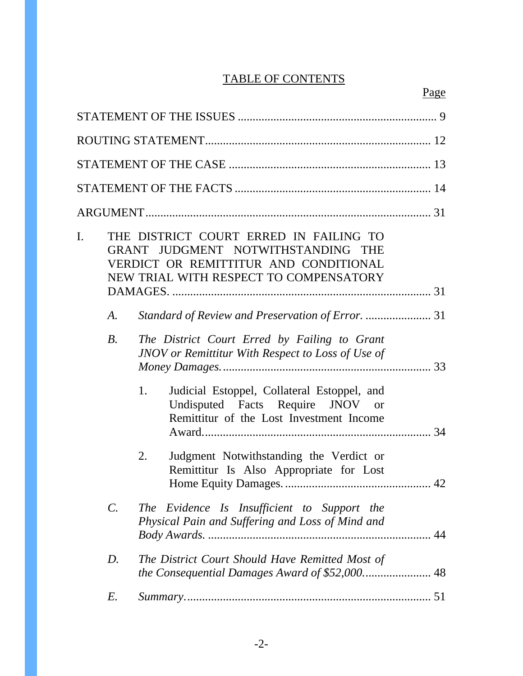# TABLE OF CONTENTS

| $\mathbf{I}$ . | THE DISTRICT COURT ERRED IN FAILING TO<br>GRANT JUDGMENT NOTWITHSTANDING THE<br>VERDICT OR REMITTITUR AND CONDITIONAL<br>NEW TRIAL WITH RESPECT TO COMPENSATORY |                                                                                                                                   |  |  |  |
|----------------|-----------------------------------------------------------------------------------------------------------------------------------------------------------------|-----------------------------------------------------------------------------------------------------------------------------------|--|--|--|
|                | A.                                                                                                                                                              |                                                                                                                                   |  |  |  |
|                | $B$ .                                                                                                                                                           | The District Court Erred by Failing to Grant<br>JNOV or Remittitur With Respect to Loss of Use of                                 |  |  |  |
|                |                                                                                                                                                                 | 1.<br>Judicial Estoppel, Collateral Estoppel, and<br>Undisputed Facts Require JNOV or<br>Remittitur of the Lost Investment Income |  |  |  |
|                |                                                                                                                                                                 | Judgment Notwithstanding the Verdict or<br>2.<br>Remittitur Is Also Appropriate for Lost                                          |  |  |  |
|                | $\mathcal{C}$ .                                                                                                                                                 | The Evidence Is Insufficient to Support the<br>Physical Pain and Suffering and Loss of Mind and                                   |  |  |  |
|                | D.                                                                                                                                                              | The District Court Should Have Remitted Most of                                                                                   |  |  |  |
|                | E.                                                                                                                                                              |                                                                                                                                   |  |  |  |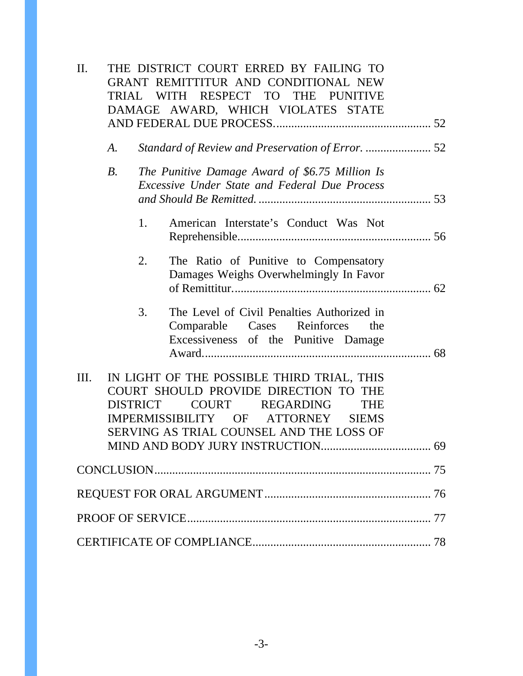| $\prod$ .                                                                                                                                                                                                                                 |            |    | THE DISTRICT COURT ERRED BY FAILING TO<br>GRANT REMITTITUR AND CONDITIONAL NEW<br>TRIAL WITH RESPECT TO THE PUNITIVE<br>DAMAGE AWARD, WHICH VIOLATES STATE |  |  |
|-------------------------------------------------------------------------------------------------------------------------------------------------------------------------------------------------------------------------------------------|------------|----|------------------------------------------------------------------------------------------------------------------------------------------------------------|--|--|
|                                                                                                                                                                                                                                           | A.         |    |                                                                                                                                                            |  |  |
|                                                                                                                                                                                                                                           | <i>B</i> . |    | The Punitive Damage Award of \$6.75 Million Is<br><b>Excessive Under State and Federal Due Process</b>                                                     |  |  |
|                                                                                                                                                                                                                                           |            | 1. | American Interstate's Conduct Was Not                                                                                                                      |  |  |
|                                                                                                                                                                                                                                           |            | 2. | The Ratio of Punitive to Compensatory<br>Damages Weighs Overwhelmingly In Favor                                                                            |  |  |
|                                                                                                                                                                                                                                           |            | 3. | The Level of Civil Penalties Authorized in<br>Comparable Cases Reinforces<br>the<br>Excessiveness of the Punitive Damage                                   |  |  |
| IN LIGHT OF THE POSSIBLE THIRD TRIAL, THIS<br>Ш.<br>COURT SHOULD PROVIDE DIRECTION TO THE<br><b>DISTRICT</b><br>COURT REGARDING<br><b>THE</b><br>IMPERMISSIBILITY OF ATTORNEY<br><b>SIEMS</b><br>SERVING AS TRIAL COUNSEL AND THE LOSS OF |            |    |                                                                                                                                                            |  |  |
|                                                                                                                                                                                                                                           |            |    |                                                                                                                                                            |  |  |
|                                                                                                                                                                                                                                           |            |    |                                                                                                                                                            |  |  |
|                                                                                                                                                                                                                                           |            |    |                                                                                                                                                            |  |  |
|                                                                                                                                                                                                                                           |            |    |                                                                                                                                                            |  |  |
|                                                                                                                                                                                                                                           |            |    |                                                                                                                                                            |  |  |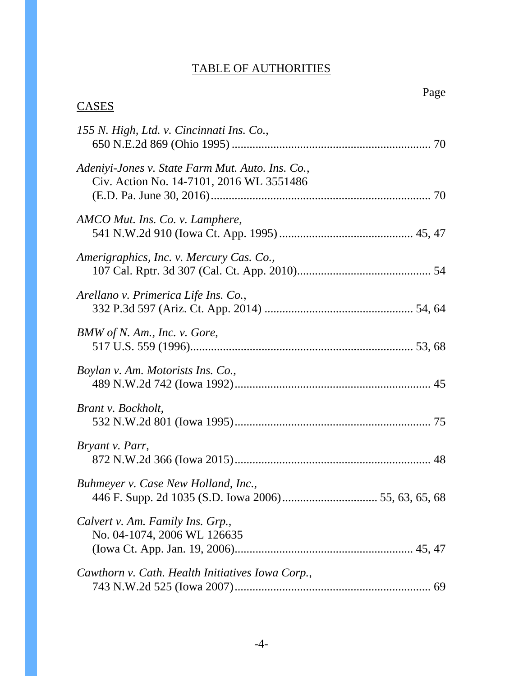# TABLE OF AUTHORITIES

Page **Page** 

# **CASES**

| 155 N. High, Ltd. v. Cincinnati Ins. Co.,                                                    |
|----------------------------------------------------------------------------------------------|
| Adeniyi-Jones v. State Farm Mut. Auto. Ins. Co.,<br>Civ. Action No. 14-7101, 2016 WL 3551486 |
| AMCO Mut. Ins. Co. v. Lamphere,                                                              |
| Amerigraphics, Inc. v. Mercury Cas. Co.,                                                     |
| Arellano v. Primerica Life Ins. Co.,                                                         |
| BMW of N. Am., Inc. v. Gore,                                                                 |
| Boylan v. Am. Motorists Ins. Co.,                                                            |
| Brant v. Bockholt,                                                                           |
| Bryant v. Parr,                                                                              |
| Buhmeyer v. Case New Holland, Inc.,                                                          |
| Calvert v. Am. Family Ins. Grp.,<br>No. 04-1074, 2006 WL 126635                              |
| Cawthorn v. Cath. Health Initiatives Iowa Corp.,                                             |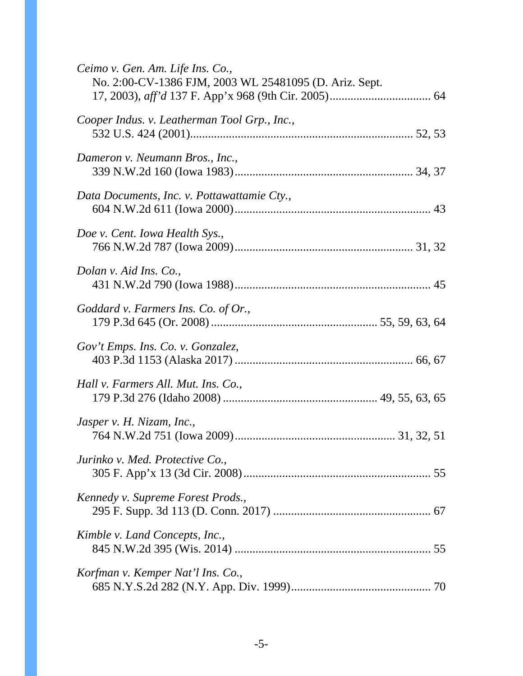| Ceimo v. Gen. Am. Life Ins. Co.,<br>No. 2:00-CV-1386 FJM, 2003 WL 25481095 (D. Ariz. Sept. |
|--------------------------------------------------------------------------------------------|
| Cooper Indus. v. Leatherman Tool Grp., Inc.,                                               |
| Dameron v. Neumann Bros., Inc.,                                                            |
| Data Documents, Inc. v. Pottawattamie Cty.,                                                |
| Doe v. Cent. Iowa Health Sys.,                                                             |
| Dolan v. Aid Ins. Co.,                                                                     |
| Goddard v. Farmers Ins. Co. of Or.,                                                        |
| Gov't Emps. Ins. Co. v. Gonzalez,                                                          |
| Hall v. Farmers All. Mut. Ins. Co.,                                                        |
| Jasper v. H. Nizam, Inc.,                                                                  |
| Jurinko v. Med. Protective Co.,                                                            |
| Kennedy v. Supreme Forest Prods.,                                                          |
| Kimble v. Land Concepts, Inc.,                                                             |
| Korfman v. Kemper Nat'l Ins. Co.,                                                          |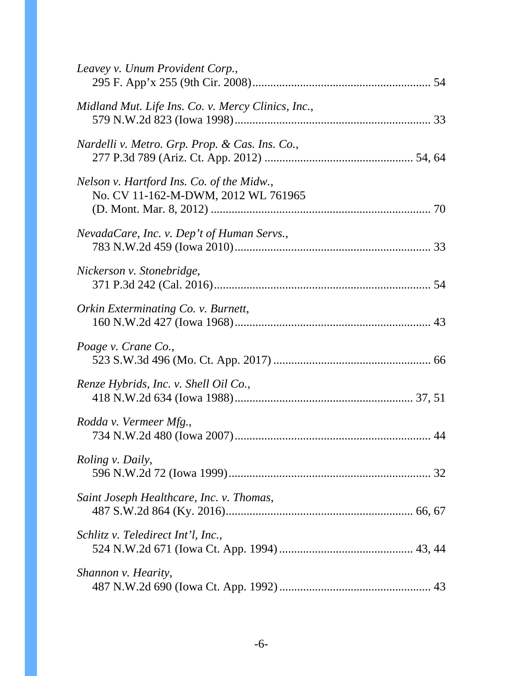| Leavey v. Unum Provident Corp.,                                                  |
|----------------------------------------------------------------------------------|
| Midland Mut. Life Ins. Co. v. Mercy Clinics, Inc.,                               |
| Nardelli v. Metro. Grp. Prop. & Cas. Ins. Co.,                                   |
| Nelson v. Hartford Ins. Co. of the Midw.,<br>No. CV 11-162-M-DWM, 2012 WL 761965 |
| NevadaCare, Inc. v. Dep't of Human Servs.,                                       |
| Nickerson v. Stonebridge,                                                        |
| Orkin Exterminating Co. v. Burnett,                                              |
| Poage v. Crane Co.,                                                              |
| Renze Hybrids, Inc. v. Shell Oil Co.,                                            |
| Rodda v. Vermeer Mfg.,                                                           |
| <i>Roling v. Daily,</i>                                                          |
| Saint Joseph Healthcare, Inc. v. Thomas,                                         |
| Schlitz v. Teledirect Int'l, Inc.,                                               |
| Shannon v. Hearity,                                                              |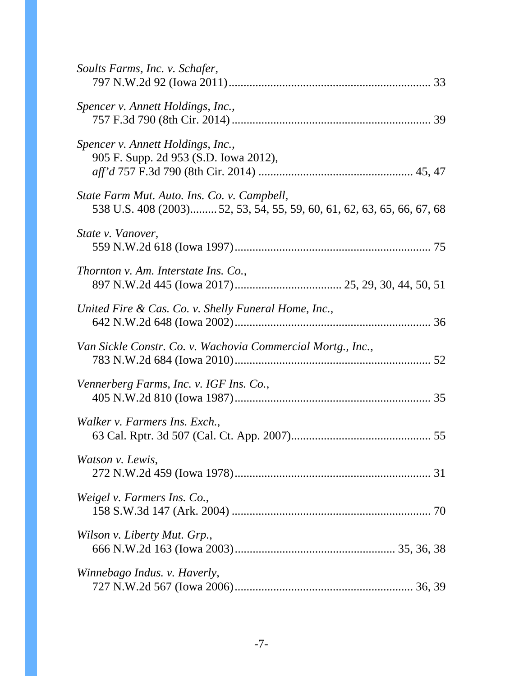| Soults Farms, Inc. v. Schafer,                                                                                        |
|-----------------------------------------------------------------------------------------------------------------------|
| Spencer v. Annett Holdings, Inc.,                                                                                     |
| Spencer v. Annett Holdings, Inc.,<br>905 F. Supp. 2d 953 (S.D. Iowa 2012),                                            |
| State Farm Mut. Auto. Ins. Co. v. Campbell,<br>538 U.S. 408 (2003) 52, 53, 54, 55, 59, 60, 61, 62, 63, 65, 66, 67, 68 |
| State v. Vanover,                                                                                                     |
| Thornton v. Am. Interstate Ins. Co.,                                                                                  |
| United Fire & Cas. Co. v. Shelly Funeral Home, Inc.,                                                                  |
| Van Sickle Constr. Co. v. Wachovia Commercial Mortg., Inc.,                                                           |
| Vennerberg Farms, Inc. v. IGF Ins. Co.,                                                                               |
| Walker v. Farmers Ins. Exch.,                                                                                         |
| Watson v. Lewis,                                                                                                      |
| Weigel v. Farmers Ins. Co.,                                                                                           |
| Wilson v. Liberty Mut. Grp.,                                                                                          |
| Winnebago Indus. v. Haverly,                                                                                          |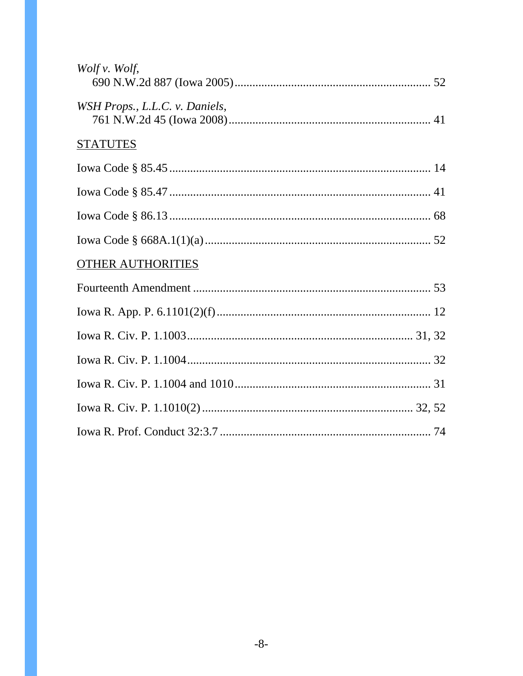| Wolf v. Wolf,                  |  |
|--------------------------------|--|
| WSH Props., L.L.C. v. Daniels, |  |
| <b>STATUTES</b>                |  |
|                                |  |
|                                |  |
|                                |  |
|                                |  |
| <b>OTHER AUTHORITIES</b>       |  |
|                                |  |
|                                |  |
|                                |  |
|                                |  |
|                                |  |
|                                |  |
|                                |  |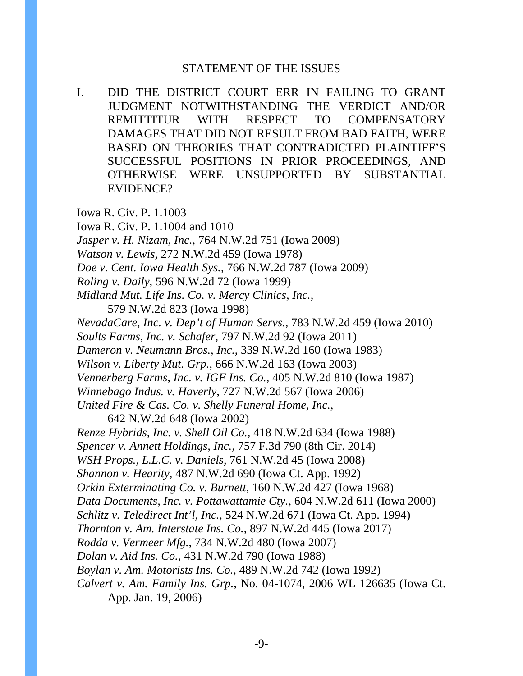### STATEMENT OF THE ISSUES

I. DID THE DISTRICT COURT ERR IN FAILING TO GRANT JUDGMENT NOTWITHSTANDING THE VERDICT AND/OR REMITTITUR WITH RESPECT TO COMPENSATORY DAMAGES THAT DID NOT RESULT FROM BAD FAITH, WERE BASED ON THEORIES THAT CONTRADICTED PLAINTIFF'S SUCCESSFUL POSITIONS IN PRIOR PROCEEDINGS, AND OTHERWISE WERE UNSUPPORTED BY SUBSTANTIAL EVIDENCE?

Iowa R. Civ. P. 1.1003

Iowa R. Civ. P. 1.1004 and 1010

*Jasper v. H. Nizam, Inc.*, 764 N.W.2d 751 (Iowa 2009)

*Watson v. Lewis*, 272 N.W.2d 459 (Iowa 1978)

*Doe v. Cent. Iowa Health Sys.*, 766 N.W.2d 787 (Iowa 2009)

*Roling v. Daily*, 596 N.W.2d 72 (Iowa 1999)

*Midland Mut. Life Ins. Co. v. Mercy Clinics, Inc.*,

579 N.W.2d 823 (Iowa 1998)

*NevadaCare, Inc. v. Dep't of Human Servs.*, 783 N.W.2d 459 (Iowa 2010)

*Soults Farms, Inc. v. Schafer*, 797 N.W.2d 92 (Iowa 2011)

*Dameron v. Neumann Bros., Inc.*, 339 N.W.2d 160 (Iowa 1983)

*Wilson v. Liberty Mut. Grp.*, 666 N.W.2d 163 (Iowa 2003)

*Vennerberg Farms, Inc. v. IGF Ins. Co.*, 405 N.W.2d 810 (Iowa 1987)

*Winnebago Indus. v. Haverly*, 727 N.W.2d 567 (Iowa 2006)

*United Fire & Cas. Co. v. Shelly Funeral Home, Inc.*,

642 N.W.2d 648 (Iowa 2002)

*Renze Hybrids, Inc. v. Shell Oil Co.*, 418 N.W.2d 634 (Iowa 1988)

*Spencer v. Annett Holdings, Inc.*, 757 F.3d 790 (8th Cir. 2014)

*WSH Props., L.L.C. v. Daniels*, 761 N.W.2d 45 (Iowa 2008)

*Shannon v. Hearity*, 487 N.W.2d 690 (Iowa Ct. App. 1992)

*Orkin Exterminating Co. v. Burnett*, 160 N.W.2d 427 (Iowa 1968)

*Data Documents, Inc. v. Pottawattamie Cty.*, 604 N.W.2d 611 (Iowa 2000)

*Schlitz v. Teledirect Int'l, Inc.*, 524 N.W.2d 671 (Iowa Ct. App. 1994)

*Thornton v. Am. Interstate Ins. Co.*, 897 N.W.2d 445 (Iowa 2017)

*Rodda v. Vermeer Mfg.*, 734 N.W.2d 480 (Iowa 2007)

*Dolan v. Aid Ins. Co.*, 431 N.W.2d 790 (Iowa 1988)

*Boylan v. Am. Motorists Ins. Co.*, 489 N.W.2d 742 (Iowa 1992)

*Calvert v. Am. Family Ins. Grp.*, No. 04-1074, 2006 WL 126635 (Iowa Ct. App. Jan. 19, 2006)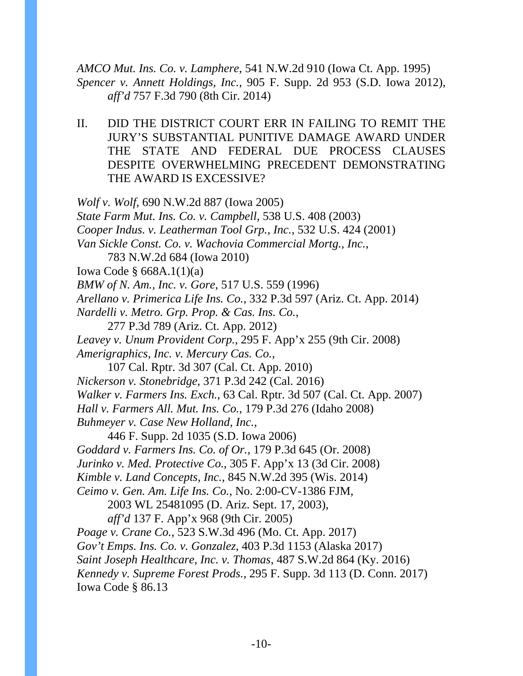*AMCO Mut. Ins. Co. v. Lamphere*, 541 N.W.2d 910 (Iowa Ct. App. 1995) *Spencer v. Annett Holdings, Inc.*, 905 F. Supp. 2d 953 (S.D. Iowa 2012), *aff'd* 757 F.3d 790 (8th Cir. 2014)

II. DID THE DISTRICT COURT ERR IN FAILING TO REMIT THE JURY'S SUBSTANTIAL PUNITIVE DAMAGE AWARD UNDER THE STATE AND FEDERAL DUE PROCESS CLAUSES DESPITE OVERWHELMING PRECEDENT DEMONSTRATING THE AWARD IS EXCESSIVE?

*Wolf v. Wolf*, 690 N.W.2d 887 (Iowa 2005) *State Farm Mut. Ins. Co. v. Campbell*, 538 U.S. 408 (2003) *Cooper Indus. v. Leatherman Tool Grp., Inc.*, 532 U.S. 424 (2001) *Van Sickle Const. Co. v. Wachovia Commercial Mortg., Inc.*, 783 N.W.2d 684 (Iowa 2010) Iowa Code § 668A.1(1)(a) *BMW of N. Am., Inc. v. Gore*, 517 U.S. 559 (1996) *Arellano v. Primerica Life Ins. Co.*, 332 P.3d 597 (Ariz. Ct. App. 2014) *Nardelli v. Metro. Grp. Prop. & Cas. Ins. Co.*, 277 P.3d 789 (Ariz. Ct. App. 2012) *Leavey v. Unum Provident Corp.*, 295 F. App'x 255 (9th Cir. 2008) *Amerigraphics, Inc. v. Mercury Cas. Co.*, 107 Cal. Rptr. 3d 307 (Cal. Ct. App. 2010) *Nickerson v. Stonebridge*, 371 P.3d 242 (Cal. 2016) *Walker v. Farmers Ins. Exch.*, 63 Cal. Rptr. 3d 507 (Cal. Ct. App. 2007) *Hall v. Farmers All. Mut. Ins. Co.*, 179 P.3d 276 (Idaho 2008) *Buhmeyer v. Case New Holland, Inc.*, 446 F. Supp. 2d 1035 (S.D. Iowa 2006) *Goddard v. Farmers Ins. Co. of Or.*, 179 P.3d 645 (Or. 2008) *Jurinko v. Med. Protective Co.*, 305 F. App'x 13 (3d Cir. 2008) *Kimble v. Land Concepts, Inc.*, 845 N.W.2d 395 (Wis. 2014) *Ceimo v. Gen. Am. Life Ins. Co.*, No. 2:00-CV-1386 FJM, 2003 WL 25481095 (D. Ariz. Sept. 17, 2003), *aff'd* 137 F. App'x 968 (9th Cir. 2005) *Poage v. Crane Co.*, 523 S.W.3d 496 (Mo. Ct. App. 2017) *Gov't Emps. Ins. Co. v. Gonzalez*, 403 P.3d 1153 (Alaska 2017) *Saint Joseph Healthcare, Inc. v. Thomas*, 487 S.W.2d 864 (Ky. 2016) *Kennedy v. Supreme Forest Prods.*, 295 F. Supp. 3d 113 (D. Conn. 2017) Iowa Code § 86.13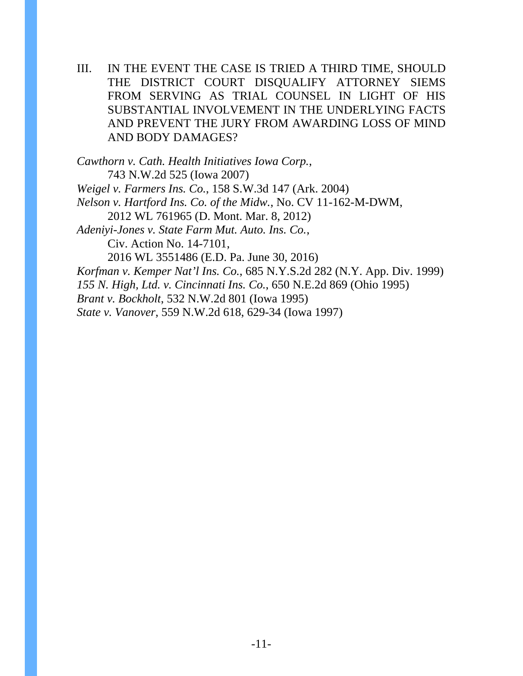III. IN THE EVENT THE CASE IS TRIED A THIRD TIME, SHOULD THE DISTRICT COURT DISQUALIFY ATTORNEY SIEMS FROM SERVING AS TRIAL COUNSEL IN LIGHT OF HIS SUBSTANTIAL INVOLVEMENT IN THE UNDERLYING FACTS AND PREVENT THE JURY FROM AWARDING LOSS OF MIND AND BODY DAMAGES?

*Cawthorn v. Cath. Health Initiatives Iowa Corp.*, 743 N.W.2d 525 (Iowa 2007) *Weigel v. Farmers Ins. Co.*, 158 S.W.3d 147 (Ark. 2004) *Nelson v. Hartford Ins. Co. of the Midw.*, No. CV 11-162-M-DWM, 2012 WL 761965 (D. Mont. Mar. 8, 2012) *Adeniyi-Jones v. State Farm Mut. Auto. Ins. Co.*, Civ. Action No. 14-7101, 2016 WL 3551486 (E.D. Pa. June 30, 2016) *Korfman v. Kemper Nat'l Ins. Co.*, 685 N.Y.S.2d 282 (N.Y. App. Div. 1999) *155 N. High, Ltd. v. Cincinnati Ins. Co.*, 650 N.E.2d 869 (Ohio 1995) *Brant v. Bockholt*, 532 N.W.2d 801 (Iowa 1995) *State v. Vanover*, 559 N.W.2d 618, 629-34 (Iowa 1997)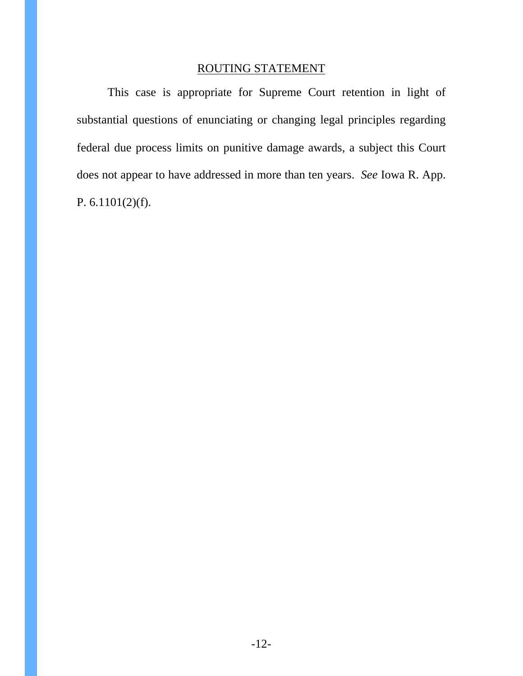## ROUTING STATEMENT

This case is appropriate for Supreme Court retention in light of substantial questions of enunciating or changing legal principles regarding federal due process limits on punitive damage awards, a subject this Court does not appear to have addressed in more than ten years. *See* Iowa R. App. P. 6.1101(2)(f).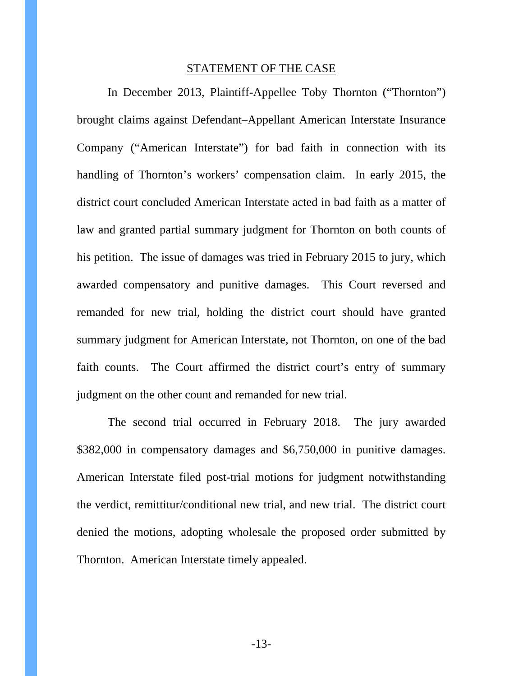#### STATEMENT OF THE CASE

In December 2013, Plaintiff-Appellee Toby Thornton ("Thornton") brought claims against Defendant–Appellant American Interstate Insurance Company ("American Interstate") for bad faith in connection with its handling of Thornton's workers' compensation claim. In early 2015, the district court concluded American Interstate acted in bad faith as a matter of law and granted partial summary judgment for Thornton on both counts of his petition. The issue of damages was tried in February 2015 to jury, which awarded compensatory and punitive damages. This Court reversed and remanded for new trial, holding the district court should have granted summary judgment for American Interstate, not Thornton, on one of the bad faith counts. The Court affirmed the district court's entry of summary judgment on the other count and remanded for new trial.

The second trial occurred in February 2018. The jury awarded \$382,000 in compensatory damages and \$6,750,000 in punitive damages. American Interstate filed post-trial motions for judgment notwithstanding the verdict, remittitur/conditional new trial, and new trial. The district court denied the motions, adopting wholesale the proposed order submitted by Thornton. American Interstate timely appealed.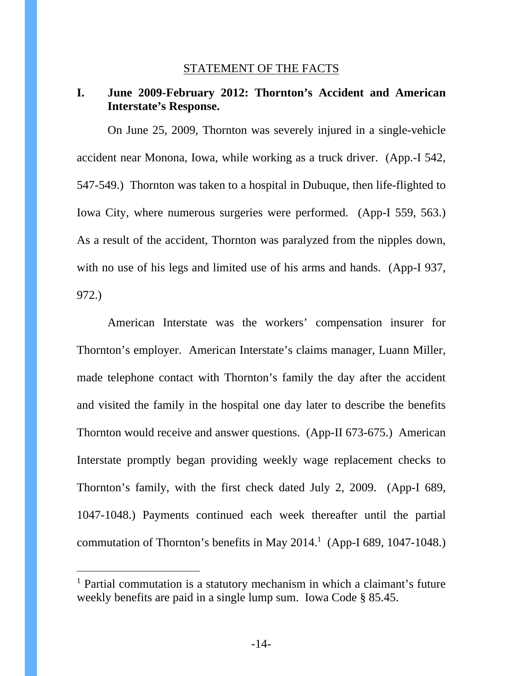### STATEMENT OF THE FACTS

## **I. June 2009-February 2012: Thornton's Accident and American Interstate's Response.**

On June 25, 2009, Thornton was severely injured in a single-vehicle accident near Monona, Iowa, while working as a truck driver. (App.-I 542, 547-549.) Thornton was taken to a hospital in Dubuque, then life-flighted to Iowa City, where numerous surgeries were performed. (App-I 559, 563.) As a result of the accident, Thornton was paralyzed from the nipples down, with no use of his legs and limited use of his arms and hands. (App-I 937, 972.)

American Interstate was the workers' compensation insurer for Thornton's employer. American Interstate's claims manager, Luann Miller, made telephone contact with Thornton's family the day after the accident and visited the family in the hospital one day later to describe the benefits Thornton would receive and answer questions. (App-II 673-675.) American Interstate promptly began providing weekly wage replacement checks to Thornton's family, with the first check dated July 2, 2009. (App-I 689, 1047-1048.) Payments continued each week thereafter until the partial commutation of Thornton's benefits in May  $2014<sup>1</sup>$  (App-I 689, 1047-1048.)

 $\overline{a}$ 

<sup>&</sup>lt;sup>1</sup> Partial commutation is a statutory mechanism in which a claimant's future weekly benefits are paid in a single lump sum. Iowa Code § 85.45.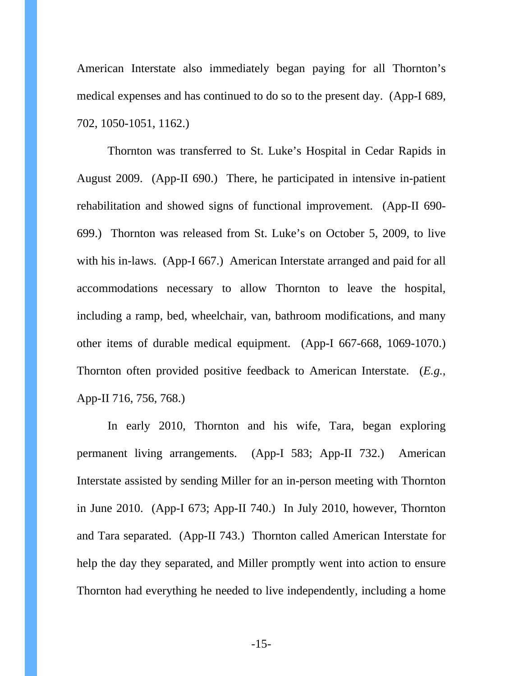American Interstate also immediately began paying for all Thornton's medical expenses and has continued to do so to the present day. (App-I 689, 702, 1050-1051, 1162.)

Thornton was transferred to St. Luke's Hospital in Cedar Rapids in August 2009. (App-II 690.) There, he participated in intensive in-patient rehabilitation and showed signs of functional improvement. (App-II 690- 699.) Thornton was released from St. Luke's on October 5, 2009, to live with his in-laws. (App-I 667.) American Interstate arranged and paid for all accommodations necessary to allow Thornton to leave the hospital, including a ramp, bed, wheelchair, van, bathroom modifications, and many other items of durable medical equipment. (App-I 667-668, 1069-1070.) Thornton often provided positive feedback to American Interstate. (*E.g.*, App-II 716, 756, 768.)

In early 2010, Thornton and his wife, Tara, began exploring permanent living arrangements. (App-I 583; App-II 732.) American Interstate assisted by sending Miller for an in-person meeting with Thornton in June 2010. (App-I 673; App-II 740.) In July 2010, however, Thornton and Tara separated. (App-II 743.) Thornton called American Interstate for help the day they separated, and Miller promptly went into action to ensure Thornton had everything he needed to live independently, including a home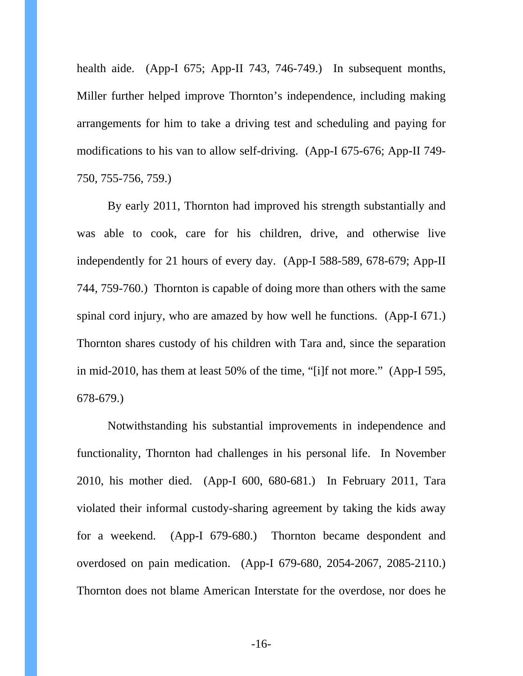health aide. (App-I 675; App-II 743, 746-749.) In subsequent months, Miller further helped improve Thornton's independence, including making arrangements for him to take a driving test and scheduling and paying for modifications to his van to allow self-driving. (App-I 675-676; App-II 749- 750, 755-756, 759.)

By early 2011, Thornton had improved his strength substantially and was able to cook, care for his children, drive, and otherwise live independently for 21 hours of every day. (App-I 588-589, 678-679; App-II 744, 759-760.) Thornton is capable of doing more than others with the same spinal cord injury, who are amazed by how well he functions. (App-I 671.) Thornton shares custody of his children with Tara and, since the separation in mid-2010, has them at least 50% of the time, "[i]f not more." (App-I 595, 678-679.)

Notwithstanding his substantial improvements in independence and functionality, Thornton had challenges in his personal life. In November 2010, his mother died. (App-I 600, 680-681.) In February 2011, Tara violated their informal custody-sharing agreement by taking the kids away for a weekend. (App-I 679-680.) Thornton became despondent and overdosed on pain medication. (App-I 679-680, 2054-2067, 2085-2110.) Thornton does not blame American Interstate for the overdose, nor does he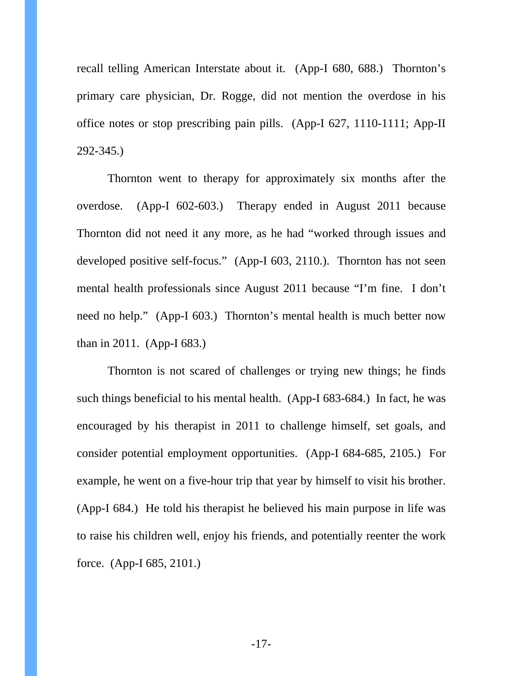recall telling American Interstate about it. (App-I 680, 688.) Thornton's primary care physician, Dr. Rogge, did not mention the overdose in his office notes or stop prescribing pain pills. (App-I 627, 1110-1111; App-II 292-345.)

Thornton went to therapy for approximately six months after the overdose. (App-I 602-603.) Therapy ended in August 2011 because Thornton did not need it any more, as he had "worked through issues and developed positive self-focus." (App-I 603, 2110.). Thornton has not seen mental health professionals since August 2011 because "I'm fine. I don't need no help." (App-I 603.) Thornton's mental health is much better now than in 2011. (App-I 683.)

Thornton is not scared of challenges or trying new things; he finds such things beneficial to his mental health. (App-I 683-684.) In fact, he was encouraged by his therapist in 2011 to challenge himself, set goals, and consider potential employment opportunities. (App-I 684-685, 2105.) For example, he went on a five-hour trip that year by himself to visit his brother. (App-I 684.) He told his therapist he believed his main purpose in life was to raise his children well, enjoy his friends, and potentially reenter the work force. (App-I 685, 2101.)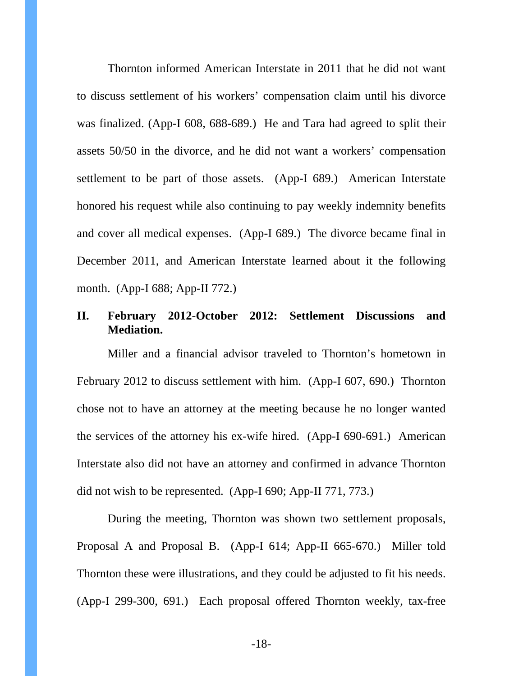Thornton informed American Interstate in 2011 that he did not want to discuss settlement of his workers' compensation claim until his divorce was finalized. (App-I 608, 688-689.) He and Tara had agreed to split their assets 50/50 in the divorce, and he did not want a workers' compensation settlement to be part of those assets. (App-I 689.) American Interstate honored his request while also continuing to pay weekly indemnity benefits and cover all medical expenses. (App-I 689.) The divorce became final in December 2011, and American Interstate learned about it the following month. (App-I 688; App-II 772.)

# **II. February 2012-October 2012: Settlement Discussions and Mediation.**

Miller and a financial advisor traveled to Thornton's hometown in February 2012 to discuss settlement with him. (App-I 607, 690.) Thornton chose not to have an attorney at the meeting because he no longer wanted the services of the attorney his ex-wife hired. (App-I 690-691.) American Interstate also did not have an attorney and confirmed in advance Thornton did not wish to be represented. (App-I 690; App-II 771, 773.)

During the meeting, Thornton was shown two settlement proposals, Proposal A and Proposal B. (App-I 614; App-II 665-670.) Miller told Thornton these were illustrations, and they could be adjusted to fit his needs. (App-I 299-300, 691.) Each proposal offered Thornton weekly, tax-free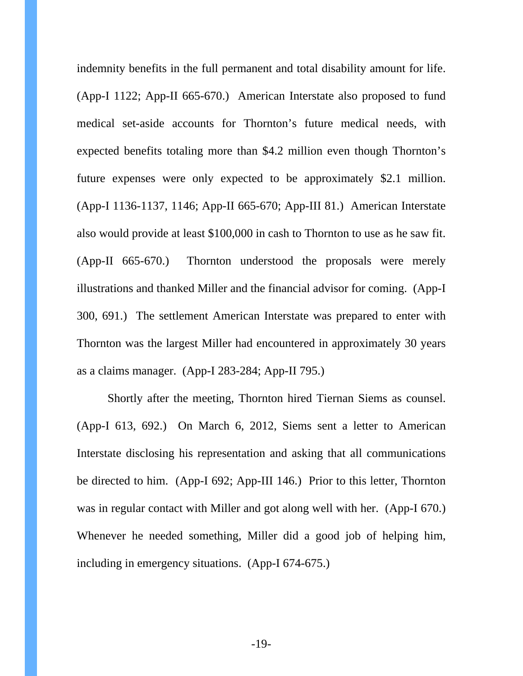indemnity benefits in the full permanent and total disability amount for life. (App-I 1122; App-II 665-670.) American Interstate also proposed to fund medical set-aside accounts for Thornton's future medical needs, with expected benefits totaling more than \$4.2 million even though Thornton's future expenses were only expected to be approximately \$2.1 million. (App-I 1136-1137, 1146; App-II 665-670; App-III 81.) American Interstate also would provide at least \$100,000 in cash to Thornton to use as he saw fit. (App-II 665-670.) Thornton understood the proposals were merely illustrations and thanked Miller and the financial advisor for coming. (App-I 300, 691.) The settlement American Interstate was prepared to enter with Thornton was the largest Miller had encountered in approximately 30 years as a claims manager. (App-I 283-284; App-II 795.)

Shortly after the meeting, Thornton hired Tiernan Siems as counsel. (App-I 613, 692.) On March 6, 2012, Siems sent a letter to American Interstate disclosing his representation and asking that all communications be directed to him. (App-I 692; App-III 146.) Prior to this letter, Thornton was in regular contact with Miller and got along well with her. (App-I 670.) Whenever he needed something, Miller did a good job of helping him, including in emergency situations. (App-I 674-675.)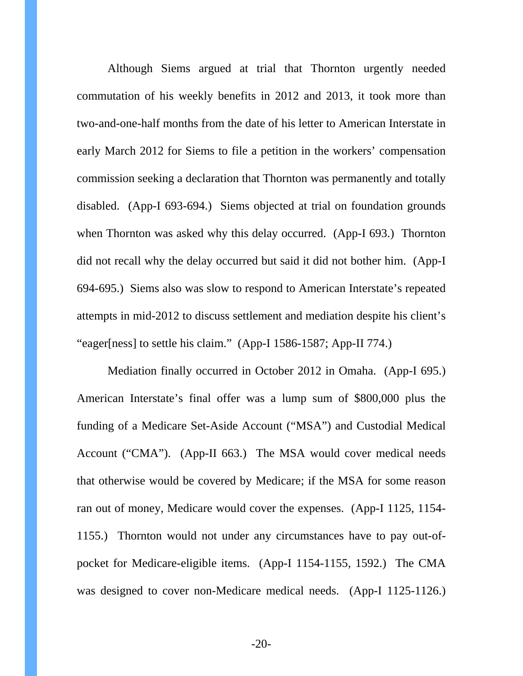Although Siems argued at trial that Thornton urgently needed commutation of his weekly benefits in 2012 and 2013, it took more than two-and-one-half months from the date of his letter to American Interstate in early March 2012 for Siems to file a petition in the workers' compensation commission seeking a declaration that Thornton was permanently and totally disabled. (App-I 693-694.) Siems objected at trial on foundation grounds when Thornton was asked why this delay occurred. (App-I 693.) Thornton did not recall why the delay occurred but said it did not bother him. (App-I 694-695.) Siems also was slow to respond to American Interstate's repeated attempts in mid-2012 to discuss settlement and mediation despite his client's "eager[ness] to settle his claim." (App-I 1586-1587; App-II 774.)

Mediation finally occurred in October 2012 in Omaha. (App-I 695.) American Interstate's final offer was a lump sum of \$800,000 plus the funding of a Medicare Set-Aside Account ("MSA") and Custodial Medical Account ("CMA"). (App-II 663.) The MSA would cover medical needs that otherwise would be covered by Medicare; if the MSA for some reason ran out of money, Medicare would cover the expenses. (App-I 1125, 1154- 1155.) Thornton would not under any circumstances have to pay out-ofpocket for Medicare-eligible items. (App-I 1154-1155, 1592.) The CMA was designed to cover non-Medicare medical needs. (App-I 1125-1126.)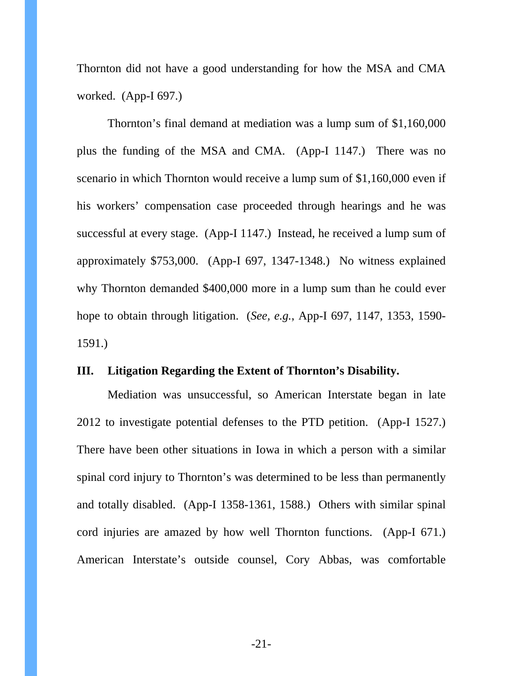Thornton did not have a good understanding for how the MSA and CMA worked. (App-I 697.)

Thornton's final demand at mediation was a lump sum of \$1,160,000 plus the funding of the MSA and CMA. (App-I 1147.) There was no scenario in which Thornton would receive a lump sum of \$1,160,000 even if his workers' compensation case proceeded through hearings and he was successful at every stage. (App-I 1147.) Instead, he received a lump sum of approximately \$753,000. (App-I 697, 1347-1348.) No witness explained why Thornton demanded \$400,000 more in a lump sum than he could ever hope to obtain through litigation. (*See, e.g.*, App-I 697, 1147, 1353, 1590- 1591.)

## **III. Litigation Regarding the Extent of Thornton's Disability.**

Mediation was unsuccessful, so American Interstate began in late 2012 to investigate potential defenses to the PTD petition. (App-I 1527.) There have been other situations in Iowa in which a person with a similar spinal cord injury to Thornton's was determined to be less than permanently and totally disabled. (App-I 1358-1361, 1588.) Others with similar spinal cord injuries are amazed by how well Thornton functions. (App-I 671.) American Interstate's outside counsel, Cory Abbas, was comfortable

-21-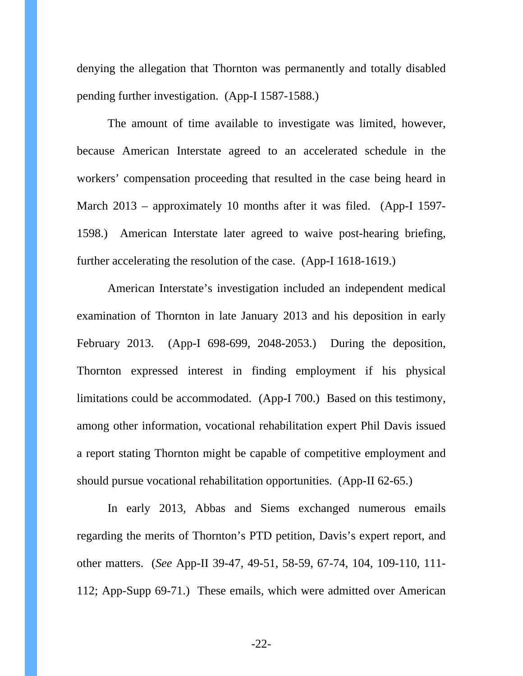denying the allegation that Thornton was permanently and totally disabled pending further investigation. (App-I 1587-1588.)

The amount of time available to investigate was limited, however, because American Interstate agreed to an accelerated schedule in the workers' compensation proceeding that resulted in the case being heard in March 2013 – approximately 10 months after it was filed. (App-I 1597- 1598.) American Interstate later agreed to waive post-hearing briefing, further accelerating the resolution of the case. (App-I 1618-1619.)

American Interstate's investigation included an independent medical examination of Thornton in late January 2013 and his deposition in early February 2013. (App-I 698-699, 2048-2053.) During the deposition, Thornton expressed interest in finding employment if his physical limitations could be accommodated. (App-I 700.) Based on this testimony, among other information, vocational rehabilitation expert Phil Davis issued a report stating Thornton might be capable of competitive employment and should pursue vocational rehabilitation opportunities. (App-II 62-65.)

In early 2013, Abbas and Siems exchanged numerous emails regarding the merits of Thornton's PTD petition, Davis's expert report, and other matters. (*See* App-II 39-47, 49-51, 58-59, 67-74, 104, 109-110, 111- 112; App-Supp 69-71.) These emails, which were admitted over American

-22-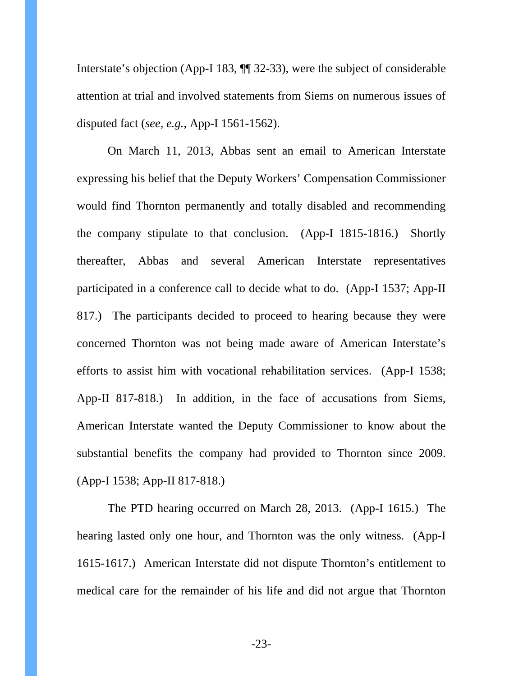Interstate's objection (App-I 183, ¶¶ 32-33), were the subject of considerable attention at trial and involved statements from Siems on numerous issues of disputed fact (*see*, *e.g.*, App-I 1561-1562).

On March 11, 2013, Abbas sent an email to American Interstate expressing his belief that the Deputy Workers' Compensation Commissioner would find Thornton permanently and totally disabled and recommending the company stipulate to that conclusion. (App-I 1815-1816.) Shortly thereafter, Abbas and several American Interstate representatives participated in a conference call to decide what to do. (App-I 1537; App-II 817.) The participants decided to proceed to hearing because they were concerned Thornton was not being made aware of American Interstate's efforts to assist him with vocational rehabilitation services. (App-I 1538; App-II 817-818.) In addition, in the face of accusations from Siems, American Interstate wanted the Deputy Commissioner to know about the substantial benefits the company had provided to Thornton since 2009. (App-I 1538; App-II 817-818.)

The PTD hearing occurred on March 28, 2013. (App-I 1615.) The hearing lasted only one hour, and Thornton was the only witness. (App-I 1615-1617.) American Interstate did not dispute Thornton's entitlement to medical care for the remainder of his life and did not argue that Thornton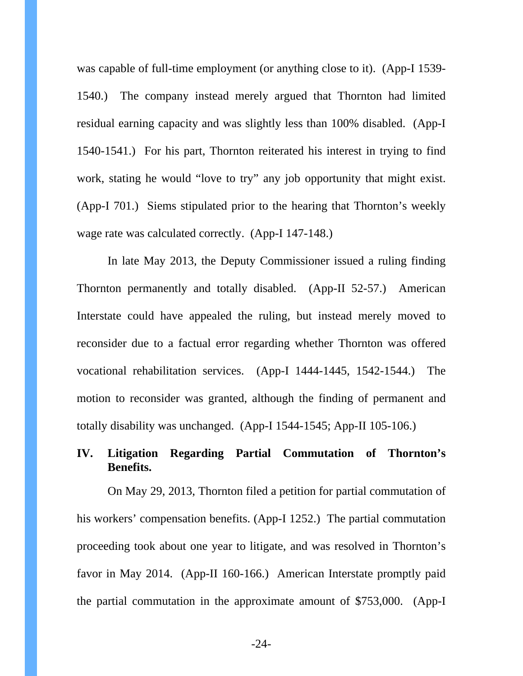was capable of full-time employment (or anything close to it). (App-I 1539- 1540.) The company instead merely argued that Thornton had limited residual earning capacity and was slightly less than 100% disabled. (App-I 1540-1541.) For his part, Thornton reiterated his interest in trying to find work, stating he would "love to try" any job opportunity that might exist. (App-I 701.) Siems stipulated prior to the hearing that Thornton's weekly wage rate was calculated correctly. (App-I 147-148.)

In late May 2013, the Deputy Commissioner issued a ruling finding Thornton permanently and totally disabled. (App-II 52-57.) American Interstate could have appealed the ruling, but instead merely moved to reconsider due to a factual error regarding whether Thornton was offered vocational rehabilitation services. (App-I 1444-1445, 1542-1544.) The motion to reconsider was granted, although the finding of permanent and totally disability was unchanged. (App-I 1544-1545; App-II 105-106.)

# **IV. Litigation Regarding Partial Commutation of Thornton's Benefits.**

On May 29, 2013, Thornton filed a petition for partial commutation of his workers' compensation benefits. (App-I 1252.) The partial commutation proceeding took about one year to litigate, and was resolved in Thornton's favor in May 2014. (App-II 160-166.) American Interstate promptly paid the partial commutation in the approximate amount of \$753,000. (App-I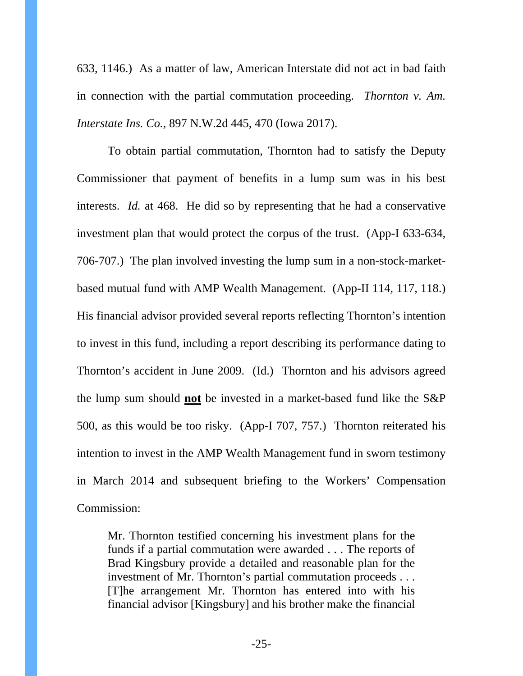633, 1146.) As a matter of law, American Interstate did not act in bad faith in connection with the partial commutation proceeding. *Thornton v. Am. Interstate Ins. Co.*, 897 N.W.2d 445, 470 (Iowa 2017).

To obtain partial commutation, Thornton had to satisfy the Deputy Commissioner that payment of benefits in a lump sum was in his best interests. *Id.* at 468. He did so by representing that he had a conservative investment plan that would protect the corpus of the trust. (App-I 633-634, 706-707.) The plan involved investing the lump sum in a non-stock-marketbased mutual fund with AMP Wealth Management. (App-II 114, 117, 118.) His financial advisor provided several reports reflecting Thornton's intention to invest in this fund, including a report describing its performance dating to Thornton's accident in June 2009. (Id.) Thornton and his advisors agreed the lump sum should **not** be invested in a market-based fund like the S&P 500, as this would be too risky. (App-I 707, 757.) Thornton reiterated his intention to invest in the AMP Wealth Management fund in sworn testimony in March 2014 and subsequent briefing to the Workers' Compensation Commission:

Mr. Thornton testified concerning his investment plans for the funds if a partial commutation were awarded . . . The reports of Brad Kingsbury provide a detailed and reasonable plan for the investment of Mr. Thornton's partial commutation proceeds . . . [T]he arrangement Mr. Thornton has entered into with his financial advisor [Kingsbury] and his brother make the financial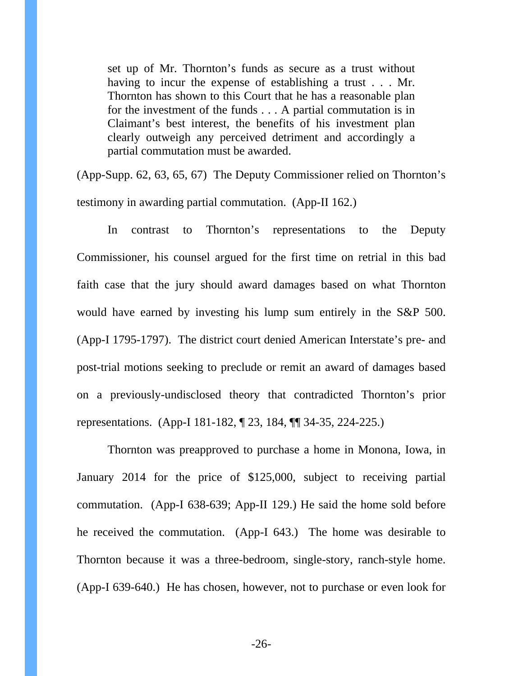set up of Mr. Thornton's funds as secure as a trust without having to incur the expense of establishing a trust . . . Mr. Thornton has shown to this Court that he has a reasonable plan for the investment of the funds . . . A partial commutation is in Claimant's best interest, the benefits of his investment plan clearly outweigh any perceived detriment and accordingly a partial commutation must be awarded.

(App-Supp. 62, 63, 65, 67) The Deputy Commissioner relied on Thornton's testimony in awarding partial commutation. (App-II 162.)

In contrast to Thornton's representations to the Deputy Commissioner, his counsel argued for the first time on retrial in this bad faith case that the jury should award damages based on what Thornton would have earned by investing his lump sum entirely in the S&P 500. (App-I 1795-1797). The district court denied American Interstate's pre- and post-trial motions seeking to preclude or remit an award of damages based on a previously-undisclosed theory that contradicted Thornton's prior representations. (App-I 181-182, ¶ 23, 184, ¶¶ 34-35, 224-225.)

Thornton was preapproved to purchase a home in Monona, Iowa, in January 2014 for the price of \$125,000, subject to receiving partial commutation. (App-I 638-639; App-II 129.) He said the home sold before he received the commutation. (App-I 643.) The home was desirable to Thornton because it was a three-bedroom, single-story, ranch-style home. (App-I 639-640.) He has chosen, however, not to purchase or even look for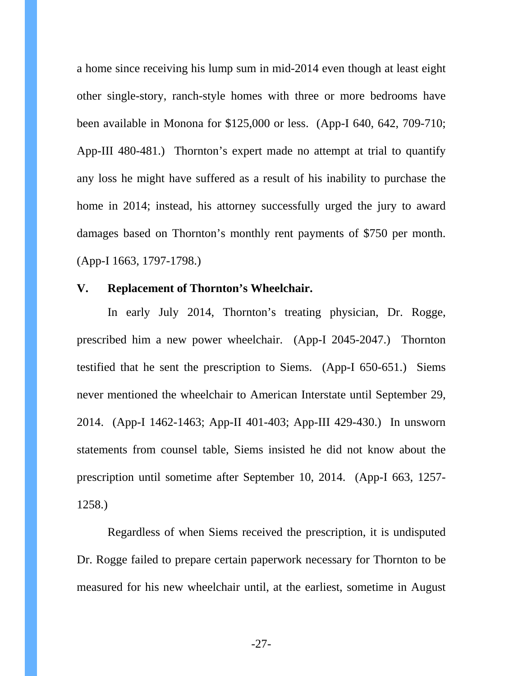a home since receiving his lump sum in mid-2014 even though at least eight other single-story, ranch-style homes with three or more bedrooms have been available in Monona for \$125,000 or less. (App-I 640, 642, 709-710; App-III 480-481.) Thornton's expert made no attempt at trial to quantify any loss he might have suffered as a result of his inability to purchase the home in 2014; instead, his attorney successfully urged the jury to award damages based on Thornton's monthly rent payments of \$750 per month. (App-I 1663, 1797-1798.)

# **V. Replacement of Thornton's Wheelchair.**

In early July 2014, Thornton's treating physician, Dr. Rogge, prescribed him a new power wheelchair. (App-I 2045-2047.) Thornton testified that he sent the prescription to Siems. (App-I 650-651.) Siems never mentioned the wheelchair to American Interstate until September 29, 2014. (App-I 1462-1463; App-II 401-403; App-III 429-430.) In unsworn statements from counsel table, Siems insisted he did not know about the prescription until sometime after September 10, 2014. (App-I 663, 1257- 1258.)

Regardless of when Siems received the prescription, it is undisputed Dr. Rogge failed to prepare certain paperwork necessary for Thornton to be measured for his new wheelchair until, at the earliest, sometime in August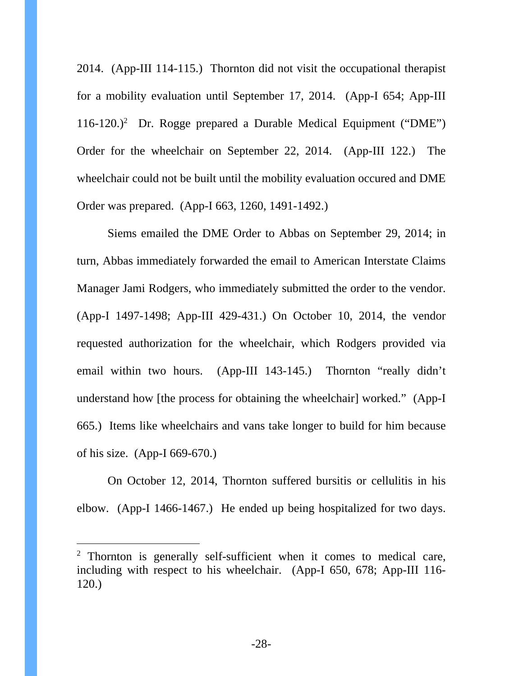2014. (App-III 114-115.) Thornton did not visit the occupational therapist for a mobility evaluation until September 17, 2014. (App-I 654; App-III 116-120.)<sup>2</sup> Dr. Rogge prepared a Durable Medical Equipment ("DME") Order for the wheelchair on September 22, 2014. (App-III 122.) The wheelchair could not be built until the mobility evaluation occured and DME Order was prepared. (App-I 663, 1260, 1491-1492.)

Siems emailed the DME Order to Abbas on September 29, 2014; in turn, Abbas immediately forwarded the email to American Interstate Claims Manager Jami Rodgers, who immediately submitted the order to the vendor. (App-I 1497-1498; App-III 429-431.) On October 10, 2014, the vendor requested authorization for the wheelchair, which Rodgers provided via email within two hours. (App-III 143-145.) Thornton "really didn't understand how [the process for obtaining the wheelchair] worked." (App-I 665.) Items like wheelchairs and vans take longer to build for him because of his size. (App-I 669-670.)

On October 12, 2014, Thornton suffered bursitis or cellulitis in his elbow. (App-I 1466-1467.) He ended up being hospitalized for two days.

 $\overline{a}$ 

<sup>&</sup>lt;sup>2</sup> Thornton is generally self-sufficient when it comes to medical care, including with respect to his wheelchair. (App-I 650, 678; App-III 116- 120.)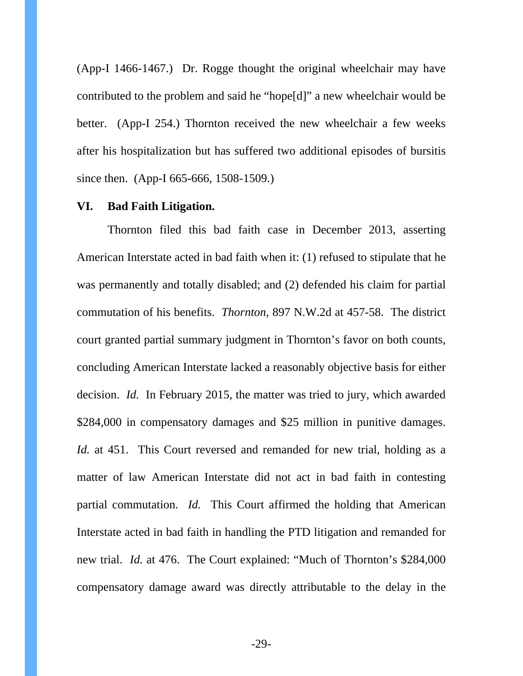(App-I 1466-1467.) Dr. Rogge thought the original wheelchair may have contributed to the problem and said he "hope[d]" a new wheelchair would be better. (App-I 254.) Thornton received the new wheelchair a few weeks after his hospitalization but has suffered two additional episodes of bursitis since then. (App-I 665-666, 1508-1509.)

### **VI. Bad Faith Litigation.**

Thornton filed this bad faith case in December 2013, asserting American Interstate acted in bad faith when it: (1) refused to stipulate that he was permanently and totally disabled; and (2) defended his claim for partial commutation of his benefits. *Thornton*, 897 N.W.2d at 457-58. The district court granted partial summary judgment in Thornton's favor on both counts, concluding American Interstate lacked a reasonably objective basis for either decision. *Id.* In February 2015, the matter was tried to jury, which awarded \$284,000 in compensatory damages and \$25 million in punitive damages. *Id.* at 451. This Court reversed and remanded for new trial, holding as a matter of law American Interstate did not act in bad faith in contesting partial commutation. *Id.* This Court affirmed the holding that American Interstate acted in bad faith in handling the PTD litigation and remanded for new trial. *Id.* at 476. The Court explained: "Much of Thornton's \$284,000 compensatory damage award was directly attributable to the delay in the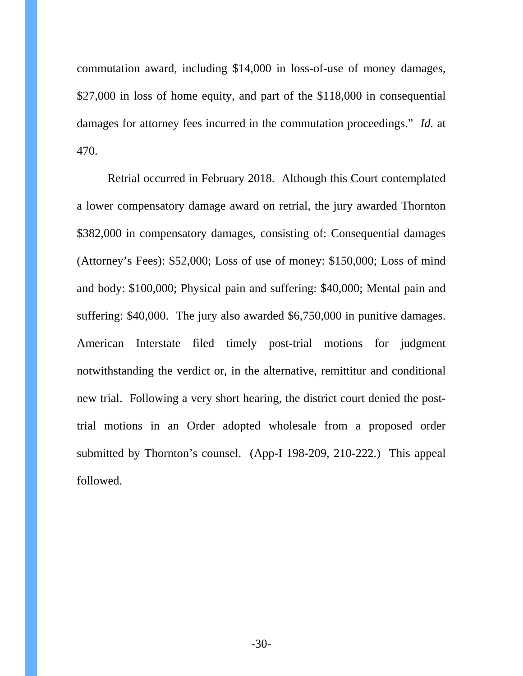commutation award, including \$14,000 in loss-of-use of money damages, \$27,000 in loss of home equity, and part of the \$118,000 in consequential damages for attorney fees incurred in the commutation proceedings." *Id.* at 470.

Retrial occurred in February 2018. Although this Court contemplated a lower compensatory damage award on retrial, the jury awarded Thornton \$382,000 in compensatory damages, consisting of: Consequential damages (Attorney's Fees): \$52,000; Loss of use of money: \$150,000; Loss of mind and body: \$100,000; Physical pain and suffering: \$40,000; Mental pain and suffering: \$40,000. The jury also awarded \$6,750,000 in punitive damages. American Interstate filed timely post-trial motions for judgment notwithstanding the verdict or, in the alternative, remittitur and conditional new trial. Following a very short hearing, the district court denied the posttrial motions in an Order adopted wholesale from a proposed order submitted by Thornton's counsel. (App-I 198-209, 210-222.) This appeal followed.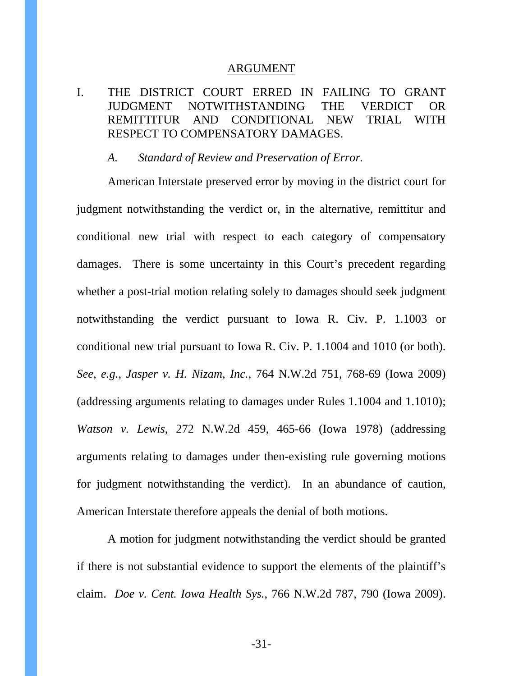#### ARGUMENT

# I. THE DISTRICT COURT ERRED IN FAILING TO GRANT JUDGMENT NOTWITHSTANDING THE VERDICT OR REMITTITUR AND CONDITIONAL NEW TRIAL WITH RESPECT TO COMPENSATORY DAMAGES.

#### *A. Standard of Review and Preservation of Error.*

American Interstate preserved error by moving in the district court for judgment notwithstanding the verdict or, in the alternative, remittitur and conditional new trial with respect to each category of compensatory damages. There is some uncertainty in this Court's precedent regarding whether a post-trial motion relating solely to damages should seek judgment notwithstanding the verdict pursuant to Iowa R. Civ. P. 1.1003 or conditional new trial pursuant to Iowa R. Civ. P. 1.1004 and 1010 (or both). *See*, *e.g.*, *Jasper v. H. Nizam, Inc.*, 764 N.W.2d 751, 768-69 (Iowa 2009) (addressing arguments relating to damages under Rules 1.1004 and 1.1010); *Watson v. Lewis*, 272 N.W.2d 459, 465-66 (Iowa 1978) (addressing arguments relating to damages under then-existing rule governing motions for judgment notwithstanding the verdict). In an abundance of caution, American Interstate therefore appeals the denial of both motions.

A motion for judgment notwithstanding the verdict should be granted if there is not substantial evidence to support the elements of the plaintiff's claim. *Doe v. Cent. Iowa Health Sys.*, 766 N.W.2d 787, 790 (Iowa 2009).

-31-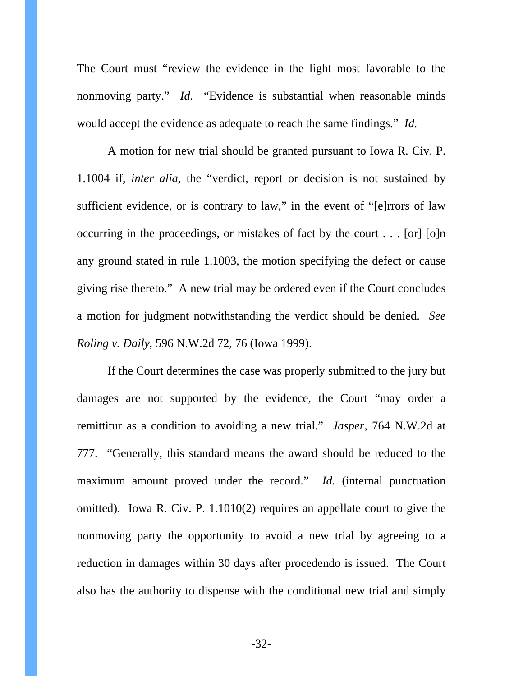The Court must "review the evidence in the light most favorable to the nonmoving party." *Id.* "Evidence is substantial when reasonable minds would accept the evidence as adequate to reach the same findings." *Id.*

A motion for new trial should be granted pursuant to Iowa R. Civ. P. 1.1004 if, *inter alia*, the "verdict, report or decision is not sustained by sufficient evidence, or is contrary to law," in the event of "[e]rrors of law occurring in the proceedings, or mistakes of fact by the court . . . [or] [o]n any ground stated in rule 1.1003, the motion specifying the defect or cause giving rise thereto." A new trial may be ordered even if the Court concludes a motion for judgment notwithstanding the verdict should be denied. *See Roling v. Daily*, 596 N.W.2d 72, 76 (Iowa 1999).

If the Court determines the case was properly submitted to the jury but damages are not supported by the evidence, the Court "may order a remittitur as a condition to avoiding a new trial." *Jasper*, 764 N.W.2d at 777. "Generally, this standard means the award should be reduced to the maximum amount proved under the record." *Id.* (internal punctuation omitted). Iowa R. Civ. P. 1.1010(2) requires an appellate court to give the nonmoving party the opportunity to avoid a new trial by agreeing to a reduction in damages within 30 days after procedendo is issued. The Court also has the authority to dispense with the conditional new trial and simply

-32-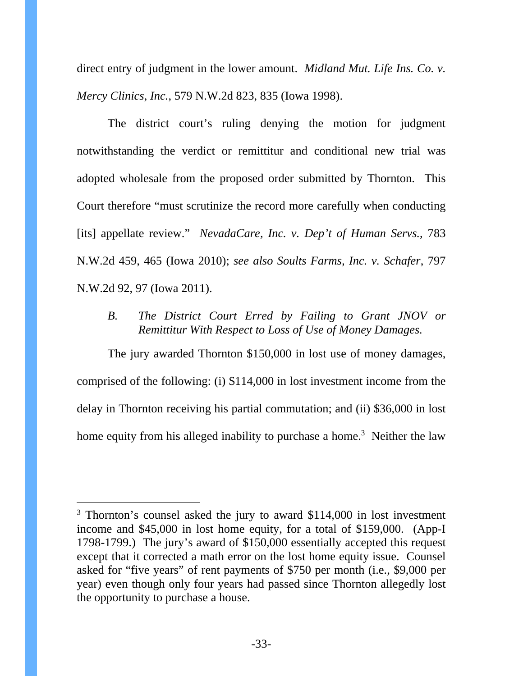direct entry of judgment in the lower amount. *Midland Mut. Life Ins. Co. v. Mercy Clinics, Inc.*, 579 N.W.2d 823, 835 (Iowa 1998).

The district court's ruling denying the motion for judgment notwithstanding the verdict or remittitur and conditional new trial was adopted wholesale from the proposed order submitted by Thornton. This Court therefore "must scrutinize the record more carefully when conducting [its] appellate review." *NevadaCare, Inc. v. Dep't of Human Servs.*, 783 N.W.2d 459, 465 (Iowa 2010); *see also Soults Farms, Inc. v. Schafer*, 797 N.W.2d 92, 97 (Iowa 2011).

*B. The District Court Erred by Failing to Grant JNOV or Remittitur With Respect to Loss of Use of Money Damages.* 

The jury awarded Thornton \$150,000 in lost use of money damages, comprised of the following: (i) \$114,000 in lost investment income from the delay in Thornton receiving his partial commutation; and (ii) \$36,000 in lost home equity from his alleged inability to purchase a home.<sup>3</sup> Neither the law

 $\overline{a}$ 

<sup>&</sup>lt;sup>3</sup> Thornton's counsel asked the jury to award \$114,000 in lost investment income and \$45,000 in lost home equity, for a total of \$159,000. (App-I 1798-1799.) The jury's award of \$150,000 essentially accepted this request except that it corrected a math error on the lost home equity issue. Counsel asked for "five years" of rent payments of \$750 per month (i.e., \$9,000 per year) even though only four years had passed since Thornton allegedly lost the opportunity to purchase a house.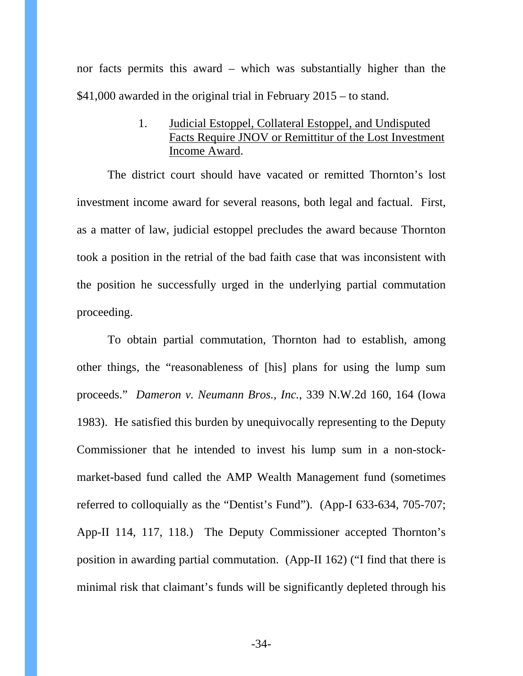nor facts permits this award – which was substantially higher than the \$41,000 awarded in the original trial in February 2015 – to stand.

> 1. Judicial Estoppel, Collateral Estoppel, and Undisputed Facts Require JNOV or Remittitur of the Lost Investment Income Award.

The district court should have vacated or remitted Thornton's lost investment income award for several reasons, both legal and factual. First, as a matter of law, judicial estoppel precludes the award because Thornton took a position in the retrial of the bad faith case that was inconsistent with the position he successfully urged in the underlying partial commutation proceeding.

To obtain partial commutation, Thornton had to establish, among other things, the "reasonableness of [his] plans for using the lump sum proceeds." *Dameron v. Neumann Bros., Inc.*, 339 N.W.2d 160, 164 (Iowa 1983). He satisfied this burden by unequivocally representing to the Deputy Commissioner that he intended to invest his lump sum in a non-stockmarket-based fund called the AMP Wealth Management fund (sometimes referred to colloquially as the "Dentist's Fund"). (App-I 633-634, 705-707; App-II 114, 117, 118.) The Deputy Commissioner accepted Thornton's position in awarding partial commutation. (App-II 162) ("I find that there is minimal risk that claimant's funds will be significantly depleted through his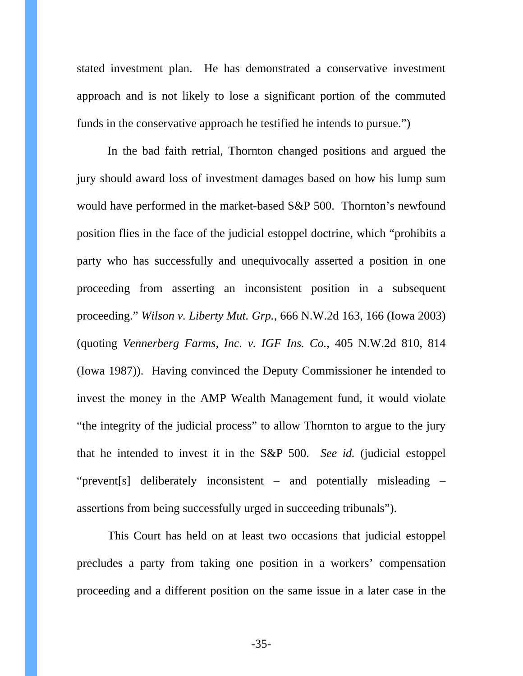stated investment plan. He has demonstrated a conservative investment approach and is not likely to lose a significant portion of the commuted funds in the conservative approach he testified he intends to pursue.")

In the bad faith retrial, Thornton changed positions and argued the jury should award loss of investment damages based on how his lump sum would have performed in the market-based S&P 500. Thornton's newfound position flies in the face of the judicial estoppel doctrine, which "prohibits a party who has successfully and unequivocally asserted a position in one proceeding from asserting an inconsistent position in a subsequent proceeding." *Wilson v. Liberty Mut. Grp.*, 666 N.W.2d 163, 166 (Iowa 2003) (quoting *Vennerberg Farms, Inc. v. IGF Ins. Co.*, 405 N.W.2d 810, 814 (Iowa 1987)). Having convinced the Deputy Commissioner he intended to invest the money in the AMP Wealth Management fund, it would violate "the integrity of the judicial process" to allow Thornton to argue to the jury that he intended to invest it in the S&P 500. *See id.* (judicial estoppel "prevent[s] deliberately inconsistent – and potentially misleading – assertions from being successfully urged in succeeding tribunals").

This Court has held on at least two occasions that judicial estoppel precludes a party from taking one position in a workers' compensation proceeding and a different position on the same issue in a later case in the

-35-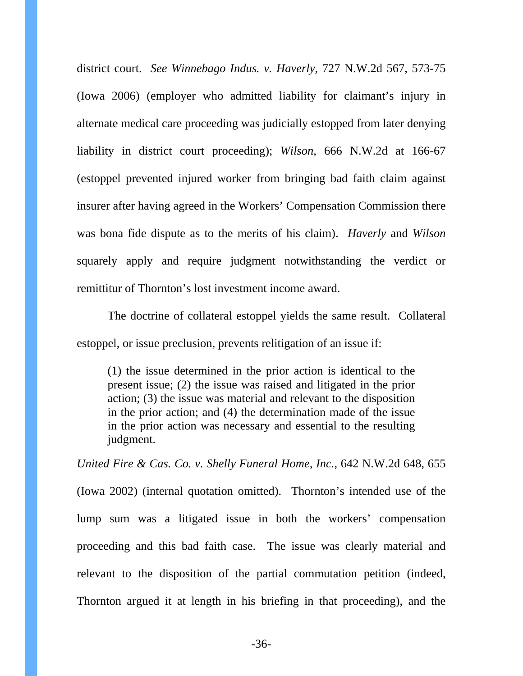district court. *See Winnebago Indus. v. Haverly*, 727 N.W.2d 567, 573-75 (Iowa 2006) (employer who admitted liability for claimant's injury in alternate medical care proceeding was judicially estopped from later denying liability in district court proceeding); *Wilson*, 666 N.W.2d at 166-67 (estoppel prevented injured worker from bringing bad faith claim against insurer after having agreed in the Workers' Compensation Commission there was bona fide dispute as to the merits of his claim). *Haverly* and *Wilson*  squarely apply and require judgment notwithstanding the verdict or remittitur of Thornton's lost investment income award.

The doctrine of collateral estoppel yields the same result. Collateral estoppel, or issue preclusion, prevents relitigation of an issue if:

(1) the issue determined in the prior action is identical to the present issue; (2) the issue was raised and litigated in the prior action; (3) the issue was material and relevant to the disposition in the prior action; and (4) the determination made of the issue in the prior action was necessary and essential to the resulting judgment.

*United Fire & Cas. Co. v. Shelly Funeral Home, Inc.*, 642 N.W.2d 648, 655 (Iowa 2002) (internal quotation omitted). Thornton's intended use of the lump sum was a litigated issue in both the workers' compensation proceeding and this bad faith case. The issue was clearly material and relevant to the disposition of the partial commutation petition (indeed, Thornton argued it at length in his briefing in that proceeding), and the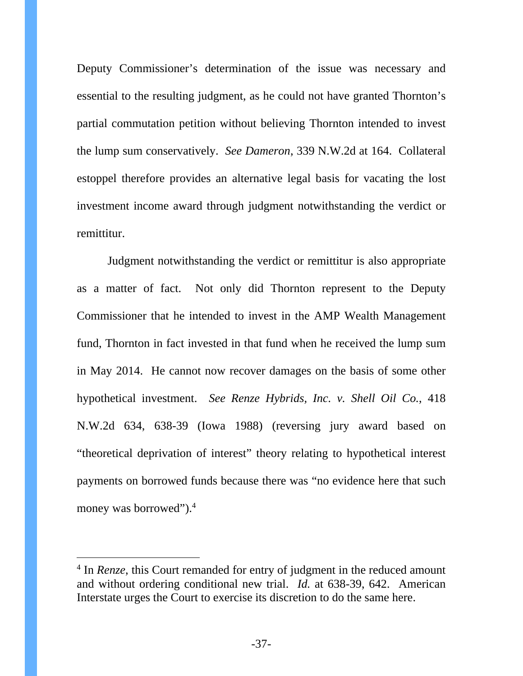Deputy Commissioner's determination of the issue was necessary and essential to the resulting judgment, as he could not have granted Thornton's partial commutation petition without believing Thornton intended to invest the lump sum conservatively. *See Dameron*, 339 N.W.2d at 164. Collateral estoppel therefore provides an alternative legal basis for vacating the lost investment income award through judgment notwithstanding the verdict or remittitur.

Judgment notwithstanding the verdict or remittitur is also appropriate as a matter of fact. Not only did Thornton represent to the Deputy Commissioner that he intended to invest in the AMP Wealth Management fund, Thornton in fact invested in that fund when he received the lump sum in May 2014. He cannot now recover damages on the basis of some other hypothetical investment. *See Renze Hybrids, Inc. v. Shell Oil Co.*, 418 N.W.2d 634, 638-39 (Iowa 1988) (reversing jury award based on "theoretical deprivation of interest" theory relating to hypothetical interest payments on borrowed funds because there was "no evidence here that such money was borrowed").4

-

<sup>&</sup>lt;sup>4</sup> In *Renze*, this Court remanded for entry of judgment in the reduced amount and without ordering conditional new trial. *Id.* at 638-39, 642. American Interstate urges the Court to exercise its discretion to do the same here.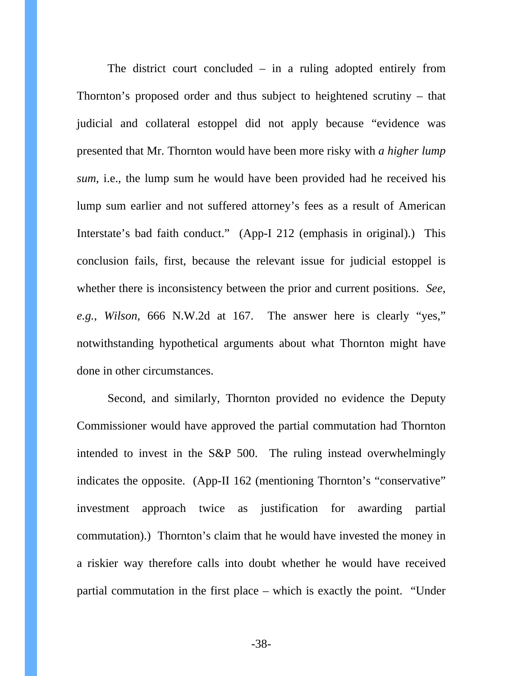The district court concluded  $-$  in a ruling adopted entirely from Thornton's proposed order and thus subject to heightened scrutiny – that judicial and collateral estoppel did not apply because "evidence was presented that Mr. Thornton would have been more risky with *a higher lump sum*, i.e., the lump sum he would have been provided had he received his lump sum earlier and not suffered attorney's fees as a result of American Interstate's bad faith conduct." (App-I 212 (emphasis in original).) This conclusion fails, first, because the relevant issue for judicial estoppel is whether there is inconsistency between the prior and current positions. *See*, *e.g.*, *Wilson*, 666 N.W.2d at 167. The answer here is clearly "yes," notwithstanding hypothetical arguments about what Thornton might have done in other circumstances.

Second, and similarly, Thornton provided no evidence the Deputy Commissioner would have approved the partial commutation had Thornton intended to invest in the S&P 500. The ruling instead overwhelmingly indicates the opposite. (App-II 162 (mentioning Thornton's "conservative" investment approach twice as justification for awarding partial commutation).) Thornton's claim that he would have invested the money in a riskier way therefore calls into doubt whether he would have received partial commutation in the first place – which is exactly the point. "Under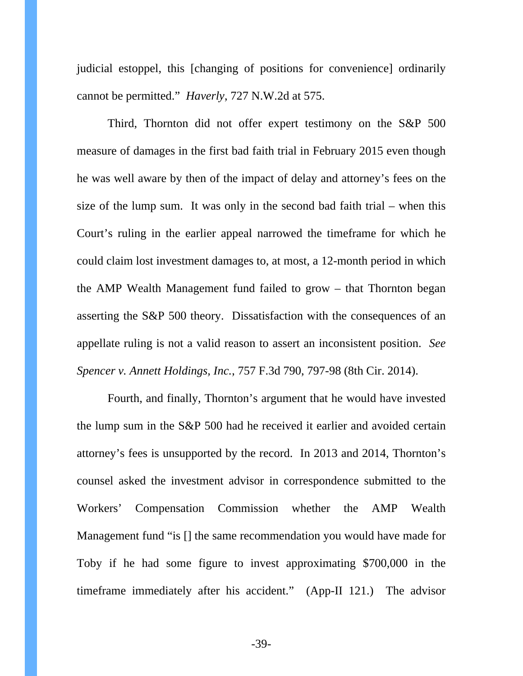judicial estoppel, this [changing of positions for convenience] ordinarily cannot be permitted." *Haverly*, 727 N.W.2d at 575.

Third, Thornton did not offer expert testimony on the S&P 500 measure of damages in the first bad faith trial in February 2015 even though he was well aware by then of the impact of delay and attorney's fees on the size of the lump sum. It was only in the second bad faith trial – when this Court's ruling in the earlier appeal narrowed the timeframe for which he could claim lost investment damages to, at most, a 12-month period in which the AMP Wealth Management fund failed to grow – that Thornton began asserting the S&P 500 theory. Dissatisfaction with the consequences of an appellate ruling is not a valid reason to assert an inconsistent position. *See Spencer v. Annett Holdings, Inc.*, 757 F.3d 790, 797-98 (8th Cir. 2014).

Fourth, and finally, Thornton's argument that he would have invested the lump sum in the S&P 500 had he received it earlier and avoided certain attorney's fees is unsupported by the record. In 2013 and 2014, Thornton's counsel asked the investment advisor in correspondence submitted to the Workers' Compensation Commission whether the AMP Wealth Management fund "is [] the same recommendation you would have made for Toby if he had some figure to invest approximating \$700,000 in the timeframe immediately after his accident." (App-II 121.) The advisor

-39-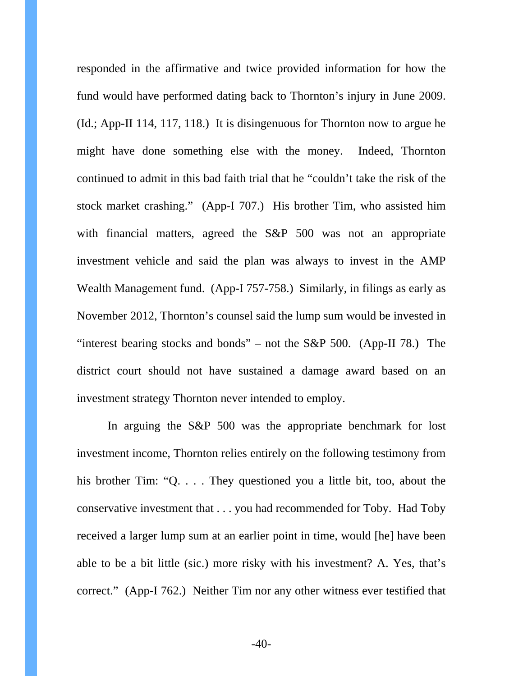responded in the affirmative and twice provided information for how the fund would have performed dating back to Thornton's injury in June 2009. (Id.; App-II 114, 117, 118.) It is disingenuous for Thornton now to argue he might have done something else with the money. Indeed, Thornton continued to admit in this bad faith trial that he "couldn't take the risk of the stock market crashing." (App-I 707.) His brother Tim, who assisted him with financial matters, agreed the S&P 500 was not an appropriate investment vehicle and said the plan was always to invest in the AMP Wealth Management fund. (App-I 757-758.) Similarly, in filings as early as November 2012, Thornton's counsel said the lump sum would be invested in "interest bearing stocks and bonds" – not the S&P 500. (App-II 78.) The district court should not have sustained a damage award based on an investment strategy Thornton never intended to employ.

In arguing the S&P 500 was the appropriate benchmark for lost investment income, Thornton relies entirely on the following testimony from his brother Tim: "Q. . . . They questioned you a little bit, too, about the conservative investment that . . . you had recommended for Toby. Had Toby received a larger lump sum at an earlier point in time, would [he] have been able to be a bit little (sic.) more risky with his investment? A. Yes, that's correct." (App-I 762.) Neither Tim nor any other witness ever testified that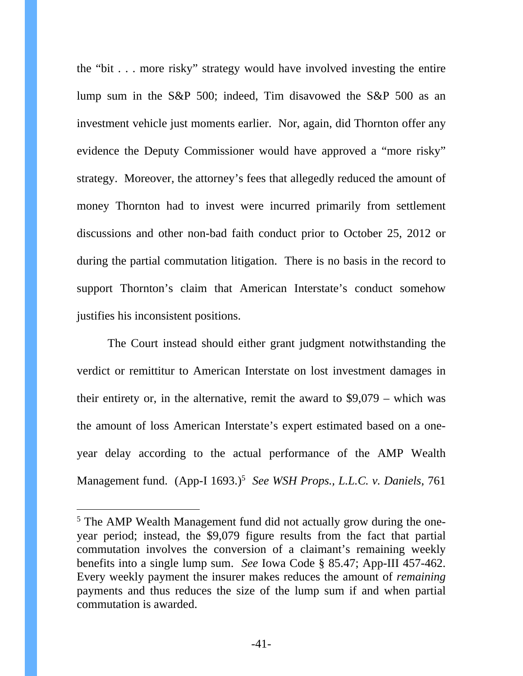the "bit . . . more risky" strategy would have involved investing the entire lump sum in the S&P 500; indeed, Tim disavowed the S&P 500 as an investment vehicle just moments earlier. Nor, again, did Thornton offer any evidence the Deputy Commissioner would have approved a "more risky" strategy. Moreover, the attorney's fees that allegedly reduced the amount of money Thornton had to invest were incurred primarily from settlement discussions and other non-bad faith conduct prior to October 25, 2012 or during the partial commutation litigation. There is no basis in the record to support Thornton's claim that American Interstate's conduct somehow justifies his inconsistent positions.

The Court instead should either grant judgment notwithstanding the verdict or remittitur to American Interstate on lost investment damages in their entirety or, in the alternative, remit the award to \$9,079 – which was the amount of loss American Interstate's expert estimated based on a oneyear delay according to the actual performance of the AMP Wealth Management fund. (App-I 1693.)<sup>5</sup> See WSH Props., L.L.C. v. Daniels, 761

-

<sup>&</sup>lt;sup>5</sup> The AMP Wealth Management fund did not actually grow during the oneyear period; instead, the \$9,079 figure results from the fact that partial commutation involves the conversion of a claimant's remaining weekly benefits into a single lump sum. *See* Iowa Code § 85.47; App-III 457-462. Every weekly payment the insurer makes reduces the amount of *remaining*  payments and thus reduces the size of the lump sum if and when partial commutation is awarded.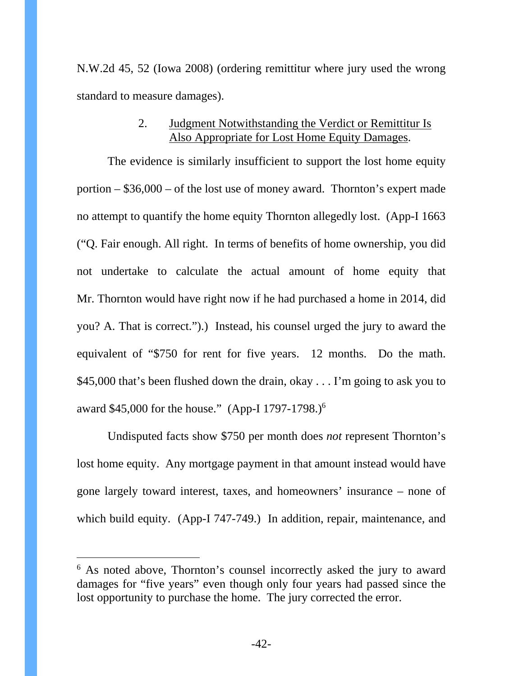N.W.2d 45, 52 (Iowa 2008) (ordering remittitur where jury used the wrong standard to measure damages).

# 2. Judgment Notwithstanding the Verdict or Remittitur Is Also Appropriate for Lost Home Equity Damages.

The evidence is similarly insufficient to support the lost home equity portion – \$36,000 – of the lost use of money award. Thornton's expert made no attempt to quantify the home equity Thornton allegedly lost. (App-I 1663 ("Q. Fair enough. All right. In terms of benefits of home ownership, you did not undertake to calculate the actual amount of home equity that Mr. Thornton would have right now if he had purchased a home in 2014, did you? A. That is correct.").) Instead, his counsel urged the jury to award the equivalent of "\$750 for rent for five years. 12 months. Do the math. \$45,000 that's been flushed down the drain, okay . . . I'm going to ask you to award \$45,000 for the house." (App-I 1797-1798.)<sup>6</sup>

Undisputed facts show \$750 per month does *not* represent Thornton's lost home equity. Any mortgage payment in that amount instead would have gone largely toward interest, taxes, and homeowners' insurance – none of which build equity. (App-I 747-749.) In addition, repair, maintenance, and

 $\overline{a}$ 

<sup>&</sup>lt;sup>6</sup> As noted above, Thornton's counsel incorrectly asked the jury to award damages for "five years" even though only four years had passed since the lost opportunity to purchase the home. The jury corrected the error.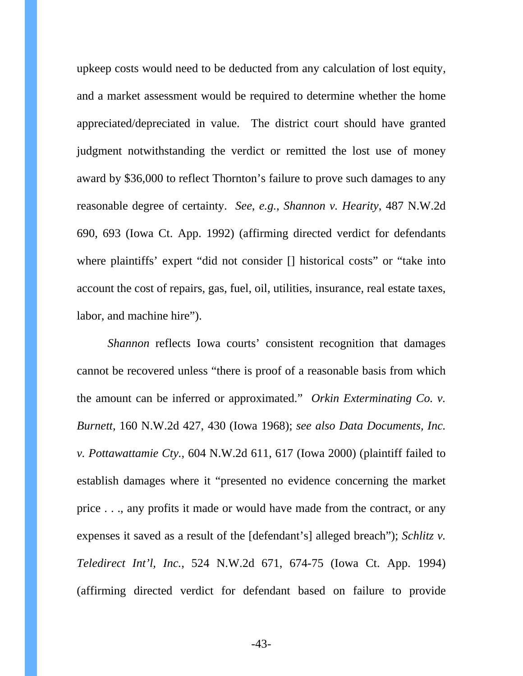upkeep costs would need to be deducted from any calculation of lost equity, and a market assessment would be required to determine whether the home appreciated/depreciated in value. The district court should have granted judgment notwithstanding the verdict or remitted the lost use of money award by \$36,000 to reflect Thornton's failure to prove such damages to any reasonable degree of certainty. *See*, *e.g.*, *Shannon v. Hearity*, 487 N.W.2d 690, 693 (Iowa Ct. App. 1992) (affirming directed verdict for defendants where plaintiffs' expert "did not consider [] historical costs" or "take into account the cost of repairs, gas, fuel, oil, utilities, insurance, real estate taxes, labor, and machine hire").

*Shannon* reflects Iowa courts' consistent recognition that damages cannot be recovered unless "there is proof of a reasonable basis from which the amount can be inferred or approximated." *Orkin Exterminating Co. v. Burnett*, 160 N.W.2d 427, 430 (Iowa 1968); *see also Data Documents, Inc. v. Pottawattamie Cty.*, 604 N.W.2d 611, 617 (Iowa 2000) (plaintiff failed to establish damages where it "presented no evidence concerning the market price . . ., any profits it made or would have made from the contract, or any expenses it saved as a result of the [defendant's] alleged breach"); *Schlitz v. Teledirect Int'l, Inc.*, 524 N.W.2d 671, 674-75 (Iowa Ct. App. 1994) (affirming directed verdict for defendant based on failure to provide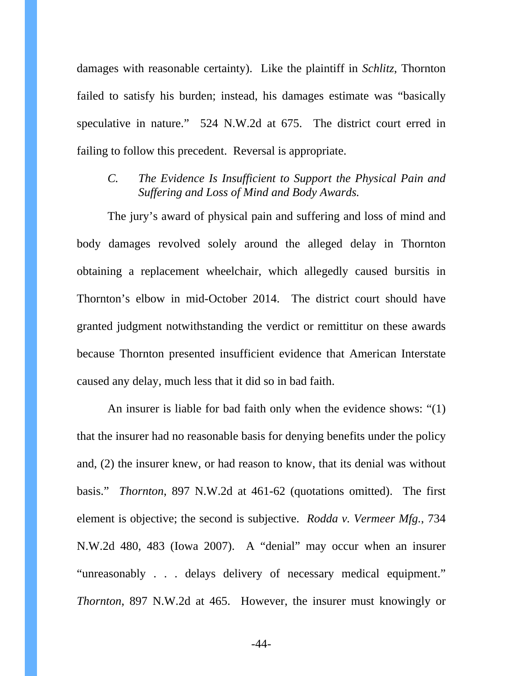damages with reasonable certainty). Like the plaintiff in *Schlitz*, Thornton failed to satisfy his burden; instead, his damages estimate was "basically speculative in nature." 524 N.W.2d at 675. The district court erred in failing to follow this precedent. Reversal is appropriate.

## *C. The Evidence Is Insufficient to Support the Physical Pain and Suffering and Loss of Mind and Body Awards.*

The jury's award of physical pain and suffering and loss of mind and body damages revolved solely around the alleged delay in Thornton obtaining a replacement wheelchair, which allegedly caused bursitis in Thornton's elbow in mid-October 2014. The district court should have granted judgment notwithstanding the verdict or remittitur on these awards because Thornton presented insufficient evidence that American Interstate caused any delay, much less that it did so in bad faith.

An insurer is liable for bad faith only when the evidence shows: "(1) that the insurer had no reasonable basis for denying benefits under the policy and, (2) the insurer knew, or had reason to know, that its denial was without basis." *Thornton*, 897 N.W.2d at 461-62 (quotations omitted). The first element is objective; the second is subjective. *Rodda v. Vermeer Mfg.*, 734 N.W.2d 480, 483 (Iowa 2007). A "denial" may occur when an insurer "unreasonably . . . delays delivery of necessary medical equipment." *Thornton*, 897 N.W.2d at 465. However, the insurer must knowingly or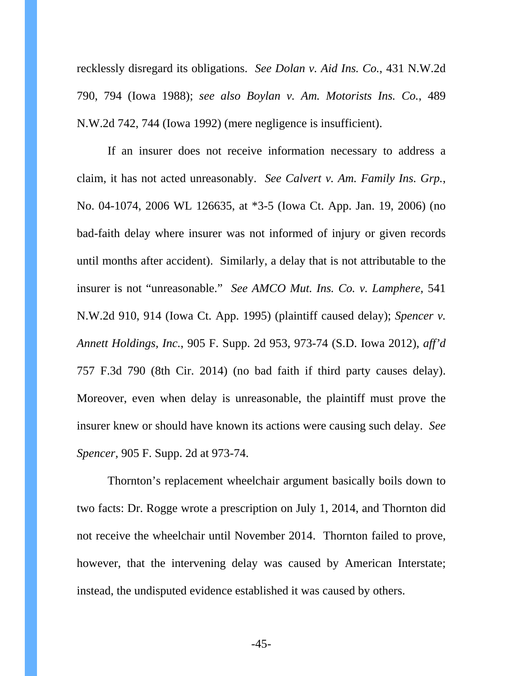recklessly disregard its obligations. *See Dolan v. Aid Ins. Co.*, 431 N.W.2d 790, 794 (Iowa 1988); *see also Boylan v. Am. Motorists Ins. Co.*, 489 N.W.2d 742, 744 (Iowa 1992) (mere negligence is insufficient).

If an insurer does not receive information necessary to address a claim, it has not acted unreasonably. *See Calvert v. Am. Family Ins. Grp.*, No. 04-1074, 2006 WL 126635, at \*3-5 (Iowa Ct. App. Jan. 19, 2006) (no bad-faith delay where insurer was not informed of injury or given records until months after accident). Similarly, a delay that is not attributable to the insurer is not "unreasonable." *See AMCO Mut. Ins. Co. v. Lamphere*, 541 N.W.2d 910, 914 (Iowa Ct. App. 1995) (plaintiff caused delay); *Spencer v. Annett Holdings, Inc.*, 905 F. Supp. 2d 953, 973-74 (S.D. Iowa 2012), *aff'd*  757 F.3d 790 (8th Cir. 2014) (no bad faith if third party causes delay). Moreover, even when delay is unreasonable, the plaintiff must prove the insurer knew or should have known its actions were causing such delay. *See Spencer*, 905 F. Supp. 2d at 973-74.

Thornton's replacement wheelchair argument basically boils down to two facts: Dr. Rogge wrote a prescription on July 1, 2014, and Thornton did not receive the wheelchair until November 2014. Thornton failed to prove, however, that the intervening delay was caused by American Interstate; instead, the undisputed evidence established it was caused by others.

-45-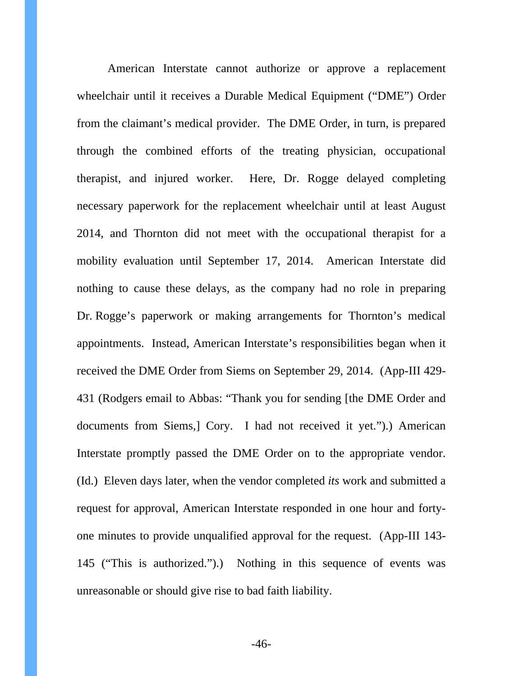American Interstate cannot authorize or approve a replacement wheelchair until it receives a Durable Medical Equipment ("DME") Order from the claimant's medical provider. The DME Order, in turn, is prepared through the combined efforts of the treating physician, occupational therapist, and injured worker. Here, Dr. Rogge delayed completing necessary paperwork for the replacement wheelchair until at least August 2014, and Thornton did not meet with the occupational therapist for a mobility evaluation until September 17, 2014. American Interstate did nothing to cause these delays, as the company had no role in preparing Dr. Rogge's paperwork or making arrangements for Thornton's medical appointments. Instead, American Interstate's responsibilities began when it received the DME Order from Siems on September 29, 2014. (App-III 429- 431 (Rodgers email to Abbas: "Thank you for sending [the DME Order and documents from Siems,] Cory. I had not received it yet.").) American Interstate promptly passed the DME Order on to the appropriate vendor. (Id.) Eleven days later, when the vendor completed *its* work and submitted a request for approval, American Interstate responded in one hour and fortyone minutes to provide unqualified approval for the request. (App-III 143- 145 ("This is authorized.").) Nothing in this sequence of events was unreasonable or should give rise to bad faith liability.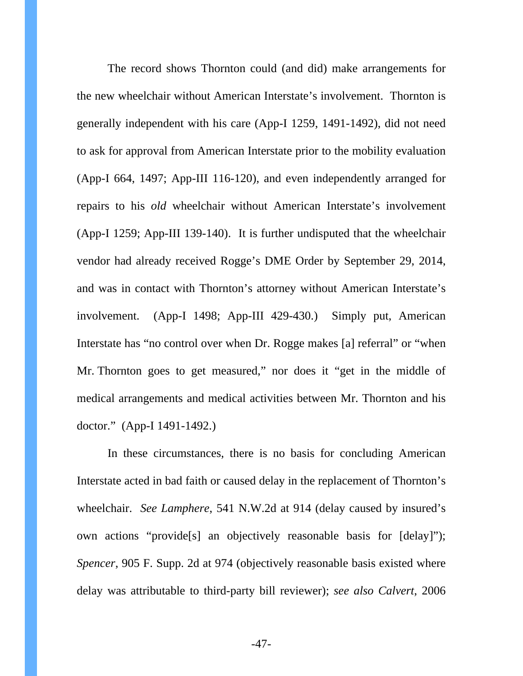The record shows Thornton could (and did) make arrangements for the new wheelchair without American Interstate's involvement. Thornton is generally independent with his care (App-I 1259, 1491-1492), did not need to ask for approval from American Interstate prior to the mobility evaluation (App-I 664, 1497; App-III 116-120), and even independently arranged for repairs to his *old* wheelchair without American Interstate's involvement (App-I 1259; App-III 139-140). It is further undisputed that the wheelchair vendor had already received Rogge's DME Order by September 29, 2014, and was in contact with Thornton's attorney without American Interstate's involvement. (App-I 1498; App-III 429-430.) Simply put, American Interstate has "no control over when Dr. Rogge makes [a] referral" or "when Mr. Thornton goes to get measured," nor does it "get in the middle of medical arrangements and medical activities between Mr. Thornton and his doctor." (App-I 1491-1492.)

In these circumstances, there is no basis for concluding American Interstate acted in bad faith or caused delay in the replacement of Thornton's wheelchair. *See Lamphere*, 541 N.W.2d at 914 (delay caused by insured's own actions "provide[s] an objectively reasonable basis for [delay]"); *Spencer*, 905 F. Supp. 2d at 974 (objectively reasonable basis existed where delay was attributable to third-party bill reviewer); *see also Calvert*, 2006

-47-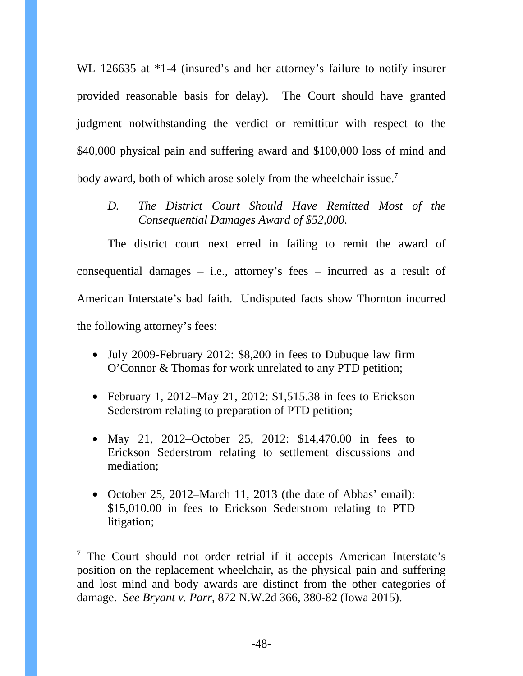WL 126635 at  $*1-4$  (insured's and her attorney's failure to notify insurer provided reasonable basis for delay). The Court should have granted judgment notwithstanding the verdict or remittitur with respect to the \$40,000 physical pain and suffering award and \$100,000 loss of mind and body award, both of which arose solely from the wheelchair issue.<sup>7</sup>

*D. The District Court Should Have Remitted Most of the Consequential Damages Award of \$52,000.* 

The district court next erred in failing to remit the award of consequential damages – i.e., attorney's fees – incurred as a result of American Interstate's bad faith. Undisputed facts show Thornton incurred the following attorney's fees:

- July 2009-February 2012: \$8,200 in fees to Dubuque law firm O'Connor & Thomas for work unrelated to any PTD petition;
- February 1, 2012–May 21, 2012: \$1,515.38 in fees to Erickson Sederstrom relating to preparation of PTD petition;
- May 21, 2012–October 25, 2012: \$14,470.00 in fees to Erickson Sederstrom relating to settlement discussions and mediation;
- October 25, 2012–March 11, 2013 (the date of Abbas' email): \$15,010.00 in fees to Erickson Sederstrom relating to PTD litigation;

-

<sup>&</sup>lt;sup>7</sup> The Court should not order retrial if it accepts American Interstate's position on the replacement wheelchair, as the physical pain and suffering and lost mind and body awards are distinct from the other categories of damage. *See Bryant v. Parr*, 872 N.W.2d 366, 380-82 (Iowa 2015).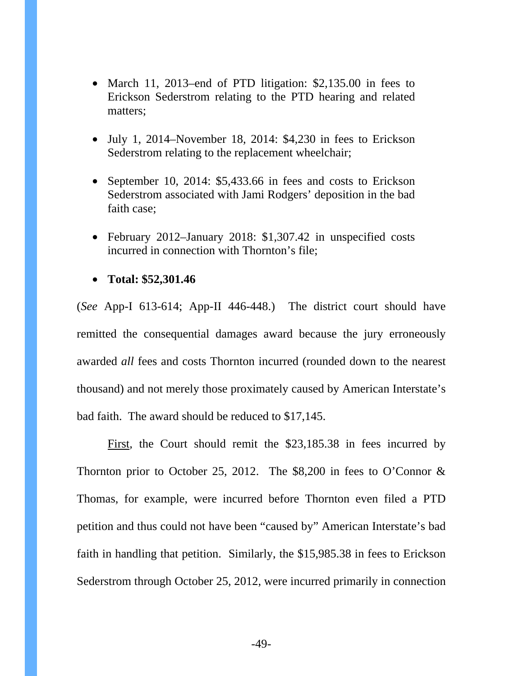- March 11, 2013–end of PTD litigation: \$2,135.00 in fees to Erickson Sederstrom relating to the PTD hearing and related matters;
- July 1, 2014–November 18, 2014: \$4,230 in fees to Erickson Sederstrom relating to the replacement wheelchair;
- September 10, 2014: \$5,433.66 in fees and costs to Erickson Sederstrom associated with Jami Rodgers' deposition in the bad faith case;
- February 2012–January 2018: \$1,307.42 in unspecified costs incurred in connection with Thornton's file;
- **Total: \$52,301.46**

(*See* App-I 613-614; App-II 446-448.) The district court should have remitted the consequential damages award because the jury erroneously awarded *all* fees and costs Thornton incurred (rounded down to the nearest thousand) and not merely those proximately caused by American Interstate's bad faith. The award should be reduced to \$17,145.

First*,* the Court should remit the \$23,185.38 in fees incurred by Thornton prior to October 25, 2012. The  $$8,200$  in fees to O'Connor & Thomas, for example, were incurred before Thornton even filed a PTD petition and thus could not have been "caused by" American Interstate's bad faith in handling that petition. Similarly, the \$15,985.38 in fees to Erickson Sederstrom through October 25, 2012, were incurred primarily in connection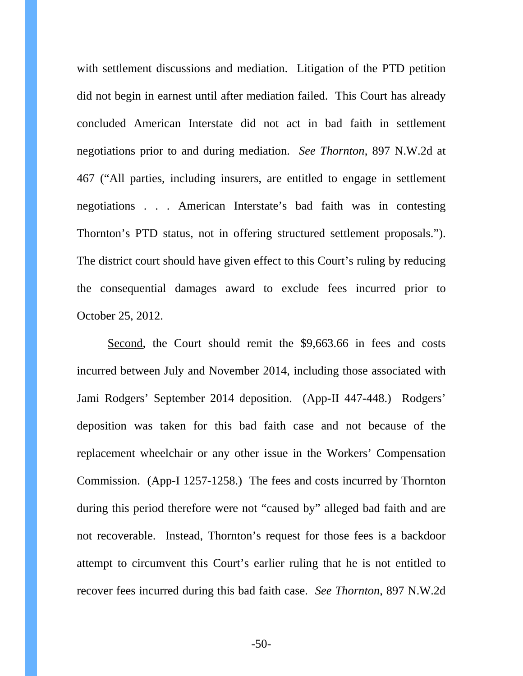with settlement discussions and mediation. Litigation of the PTD petition did not begin in earnest until after mediation failed. This Court has already concluded American Interstate did not act in bad faith in settlement negotiations prior to and during mediation. *See Thornton*, 897 N.W.2d at 467 ("All parties, including insurers, are entitled to engage in settlement negotiations . . . American Interstate's bad faith was in contesting Thornton's PTD status, not in offering structured settlement proposals."). The district court should have given effect to this Court's ruling by reducing the consequential damages award to exclude fees incurred prior to October 25, 2012.

Second, the Court should remit the \$9,663.66 in fees and costs incurred between July and November 2014, including those associated with Jami Rodgers' September 2014 deposition. (App-II 447-448.) Rodgers' deposition was taken for this bad faith case and not because of the replacement wheelchair or any other issue in the Workers' Compensation Commission. (App-I 1257-1258.) The fees and costs incurred by Thornton during this period therefore were not "caused by" alleged bad faith and are not recoverable. Instead, Thornton's request for those fees is a backdoor attempt to circumvent this Court's earlier ruling that he is not entitled to recover fees incurred during this bad faith case. *See Thornton*, 897 N.W.2d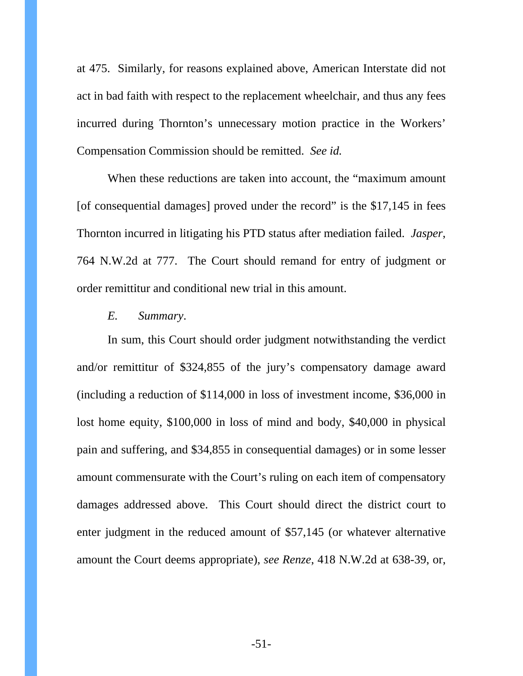at 475. Similarly, for reasons explained above, American Interstate did not act in bad faith with respect to the replacement wheelchair, and thus any fees incurred during Thornton's unnecessary motion practice in the Workers' Compensation Commission should be remitted. *See id.*

When these reductions are taken into account, the "maximum amount [of consequential damages] proved under the record" is the \$17,145 in fees Thornton incurred in litigating his PTD status after mediation failed. *Jasper*, 764 N.W.2d at 777. The Court should remand for entry of judgment or order remittitur and conditional new trial in this amount.

### *E. Summary*.

In sum, this Court should order judgment notwithstanding the verdict and/or remittitur of \$324,855 of the jury's compensatory damage award (including a reduction of \$114,000 in loss of investment income, \$36,000 in lost home equity, \$100,000 in loss of mind and body, \$40,000 in physical pain and suffering, and \$34,855 in consequential damages) or in some lesser amount commensurate with the Court's ruling on each item of compensatory damages addressed above. This Court should direct the district court to enter judgment in the reduced amount of \$57,145 (or whatever alternative amount the Court deems appropriate), *see Renze*, 418 N.W.2d at 638-39, or,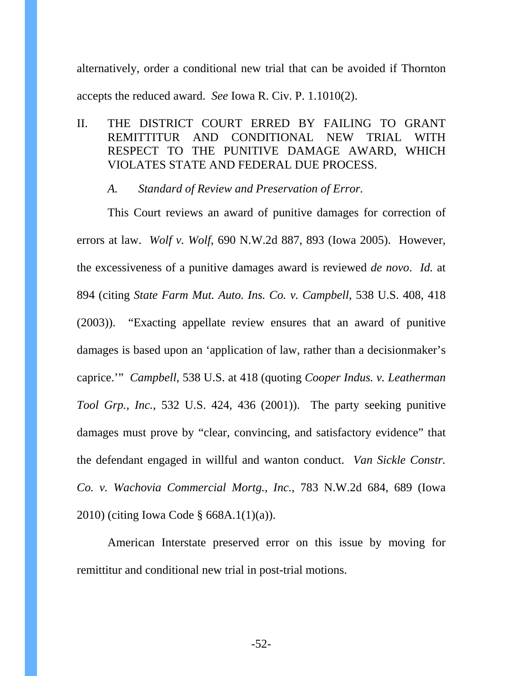alternatively, order a conditional new trial that can be avoided if Thornton accepts the reduced award. *See* Iowa R. Civ. P. 1.1010(2).

II. THE DISTRICT COURT ERRED BY FAILING TO GRANT REMITTITUR AND CONDITIONAL NEW TRIAL WITH RESPECT TO THE PUNITIVE DAMAGE AWARD, WHICH VIOLATES STATE AND FEDERAL DUE PROCESS.

#### *A. Standard of Review and Preservation of Error.*

This Court reviews an award of punitive damages for correction of errors at law. *Wolf v. Wolf*, 690 N.W.2d 887, 893 (Iowa 2005). However, the excessiveness of a punitive damages award is reviewed *de novo*. *Id.* at 894 (citing *State Farm Mut. Auto. Ins. Co. v. Campbell*, 538 U.S. 408, 418 (2003)). "Exacting appellate review ensures that an award of punitive damages is based upon an 'application of law, rather than a decisionmaker's caprice.'" *Campbell*, 538 U.S. at 418 (quoting *Cooper Indus. v. Leatherman Tool Grp., Inc.*, 532 U.S. 424, 436 (2001)). The party seeking punitive damages must prove by "clear, convincing, and satisfactory evidence" that the defendant engaged in willful and wanton conduct. *Van Sickle Constr. Co. v. Wachovia Commercial Mortg., Inc.*, 783 N.W.2d 684, 689 (Iowa 2010) (citing Iowa Code § 668A.1(1)(a)).

American Interstate preserved error on this issue by moving for remittitur and conditional new trial in post-trial motions.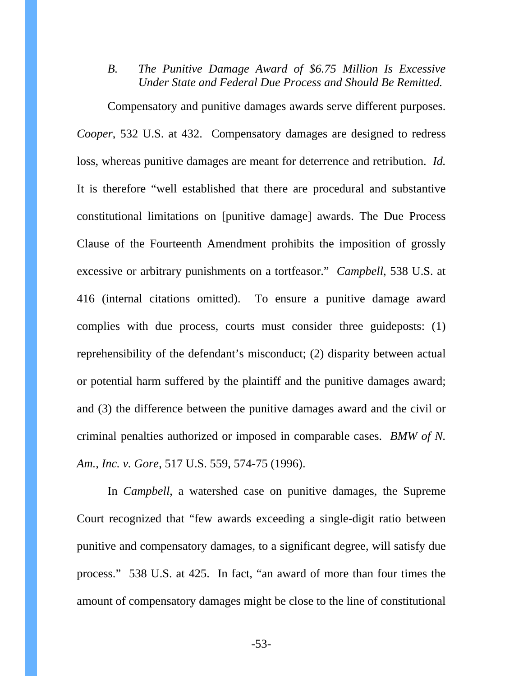*B. The Punitive Damage Award of \$6.75 Million Is Excessive Under State and Federal Due Process and Should Be Remitted.* 

Compensatory and punitive damages awards serve different purposes. *Cooper*, 532 U.S. at 432. Compensatory damages are designed to redress loss, whereas punitive damages are meant for deterrence and retribution. *Id.* It is therefore "well established that there are procedural and substantive constitutional limitations on [punitive damage] awards. The Due Process Clause of the Fourteenth Amendment prohibits the imposition of grossly excessive or arbitrary punishments on a tortfeasor." *Campbell*, 538 U.S. at 416 (internal citations omitted). To ensure a punitive damage award complies with due process, courts must consider three guideposts: (1) reprehensibility of the defendant's misconduct; (2) disparity between actual or potential harm suffered by the plaintiff and the punitive damages award; and (3) the difference between the punitive damages award and the civil or criminal penalties authorized or imposed in comparable cases. *BMW of N. Am., Inc. v. Gore*, 517 U.S. 559, 574-75 (1996).

In *Campbell*, a watershed case on punitive damages, the Supreme Court recognized that "few awards exceeding a single-digit ratio between punitive and compensatory damages, to a significant degree, will satisfy due process." 538 U.S. at 425. In fact, "an award of more than four times the amount of compensatory damages might be close to the line of constitutional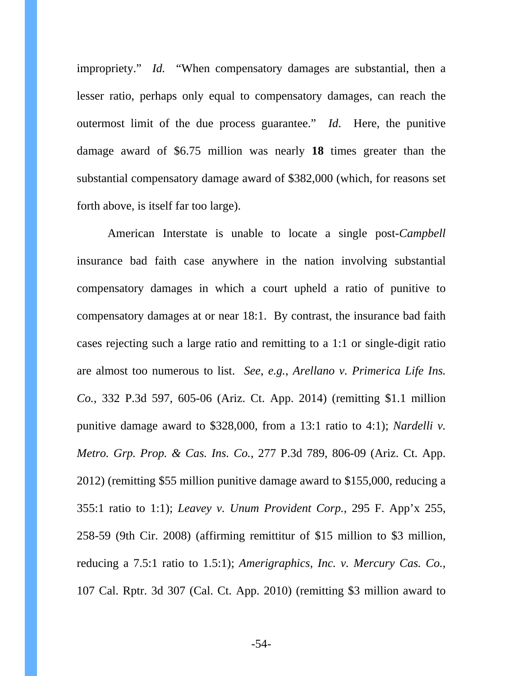impropriety." *Id.* "When compensatory damages are substantial, then a lesser ratio, perhaps only equal to compensatory damages, can reach the outermost limit of the due process guarantee." *Id*. Here, the punitive damage award of \$6.75 million was nearly **18** times greater than the substantial compensatory damage award of \$382,000 (which, for reasons set forth above, is itself far too large).

American Interstate is unable to locate a single post-*Campbell* insurance bad faith case anywhere in the nation involving substantial compensatory damages in which a court upheld a ratio of punitive to compensatory damages at or near 18:1. By contrast, the insurance bad faith cases rejecting such a large ratio and remitting to a 1:1 or single-digit ratio are almost too numerous to list. *See*, *e.g.*, *Arellano v. Primerica Life Ins. Co.*, 332 P.3d 597, 605-06 (Ariz. Ct. App. 2014) (remitting \$1.1 million punitive damage award to \$328,000, from a 13:1 ratio to 4:1); *Nardelli v. Metro. Grp. Prop. & Cas. Ins. Co.*, 277 P.3d 789, 806-09 (Ariz. Ct. App. 2012) (remitting \$55 million punitive damage award to \$155,000, reducing a 355:1 ratio to 1:1); *Leavey v. Unum Provident Corp.*, 295 F. App'x 255, 258-59 (9th Cir. 2008) (affirming remittitur of \$15 million to \$3 million, reducing a 7.5:1 ratio to 1.5:1); *Amerigraphics, Inc. v. Mercury Cas. Co.*, 107 Cal. Rptr. 3d 307 (Cal. Ct. App. 2010) (remitting \$3 million award to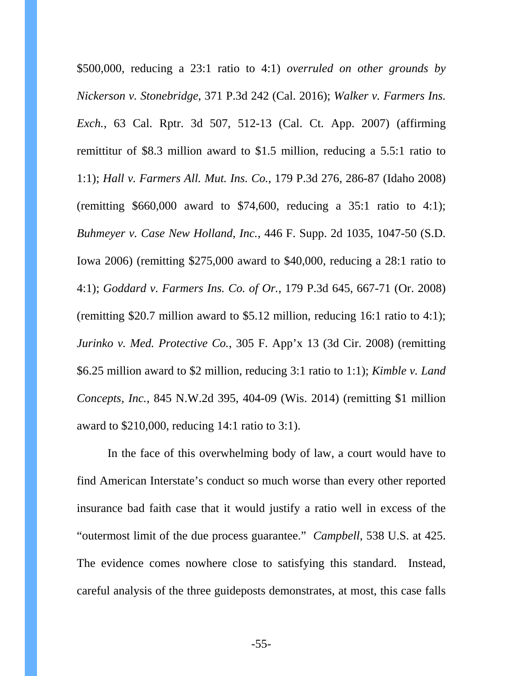\$500,000, reducing a 23:1 ratio to 4:1) *overruled on other grounds by Nickerson v. Stonebridge*, 371 P.3d 242 (Cal. 2016); *Walker v. Farmers Ins. Exch.*, 63 Cal. Rptr. 3d 507, 512-13 (Cal. Ct. App. 2007) (affirming remittitur of \$8.3 million award to \$1.5 million, reducing a 5.5:1 ratio to 1:1); *Hall v. Farmers All. Mut. Ins. Co.*, 179 P.3d 276, 286-87 (Idaho 2008) (remitting  $$660,000$  award to  $$74,600$ , reducing a 35:1 ratio to 4:1); *Buhmeyer v. Case New Holland, Inc.*, 446 F. Supp. 2d 1035, 1047-50 (S.D. Iowa 2006) (remitting \$275,000 award to \$40,000, reducing a 28:1 ratio to 4:1); *Goddard v. Farmers Ins. Co. of Or.*, 179 P.3d 645, 667-71 (Or. 2008) (remitting \$20.7 million award to \$5.12 million, reducing 16:1 ratio to 4:1); *Jurinko v. Med. Protective Co.*, 305 F. App'x 13 (3d Cir. 2008) (remitting \$6.25 million award to \$2 million, reducing 3:1 ratio to 1:1); *Kimble v. Land Concepts, Inc.*, 845 N.W.2d 395, 404-09 (Wis. 2014) (remitting \$1 million award to \$210,000, reducing 14:1 ratio to 3:1).

In the face of this overwhelming body of law, a court would have to find American Interstate's conduct so much worse than every other reported insurance bad faith case that it would justify a ratio well in excess of the "outermost limit of the due process guarantee." *Campbell*, 538 U.S. at 425. The evidence comes nowhere close to satisfying this standard. Instead, careful analysis of the three guideposts demonstrates, at most, this case falls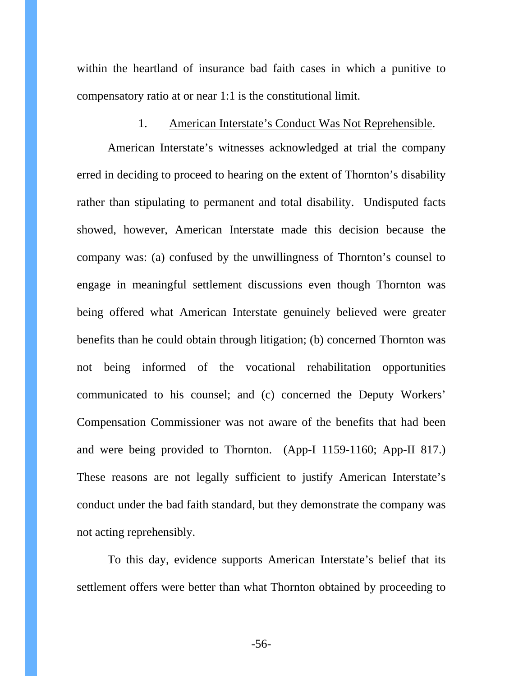within the heartland of insurance bad faith cases in which a punitive to compensatory ratio at or near 1:1 is the constitutional limit.

### 1. American Interstate's Conduct Was Not Reprehensible.

American Interstate's witnesses acknowledged at trial the company erred in deciding to proceed to hearing on the extent of Thornton's disability rather than stipulating to permanent and total disability. Undisputed facts showed, however, American Interstate made this decision because the company was: (a) confused by the unwillingness of Thornton's counsel to engage in meaningful settlement discussions even though Thornton was being offered what American Interstate genuinely believed were greater benefits than he could obtain through litigation; (b) concerned Thornton was not being informed of the vocational rehabilitation opportunities communicated to his counsel; and (c) concerned the Deputy Workers' Compensation Commissioner was not aware of the benefits that had been and were being provided to Thornton. (App-I 1159-1160; App-II 817.) These reasons are not legally sufficient to justify American Interstate's conduct under the bad faith standard, but they demonstrate the company was not acting reprehensibly.

To this day, evidence supports American Interstate's belief that its settlement offers were better than what Thornton obtained by proceeding to

-56-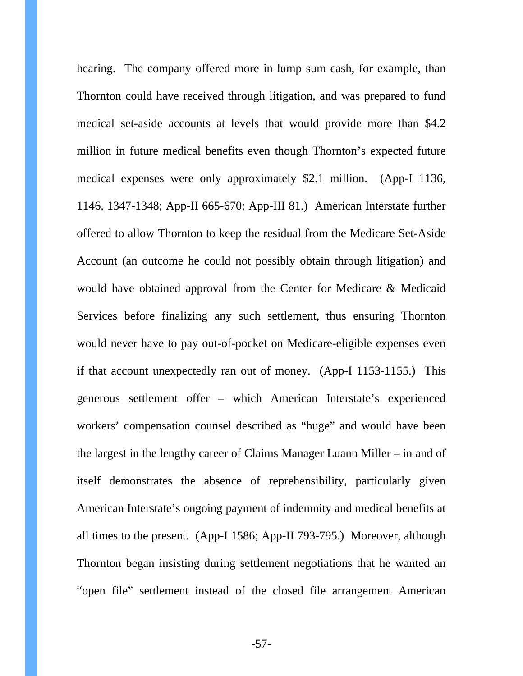hearing. The company offered more in lump sum cash, for example, than Thornton could have received through litigation, and was prepared to fund medical set-aside accounts at levels that would provide more than \$4.2 million in future medical benefits even though Thornton's expected future medical expenses were only approximately \$2.1 million. (App-I 1136, 1146, 1347-1348; App-II 665-670; App-III 81.) American Interstate further offered to allow Thornton to keep the residual from the Medicare Set-Aside Account (an outcome he could not possibly obtain through litigation) and would have obtained approval from the Center for Medicare & Medicaid Services before finalizing any such settlement, thus ensuring Thornton would never have to pay out-of-pocket on Medicare-eligible expenses even if that account unexpectedly ran out of money. (App-I 1153-1155.) This generous settlement offer – which American Interstate's experienced workers' compensation counsel described as "huge" and would have been the largest in the lengthy career of Claims Manager Luann Miller – in and of itself demonstrates the absence of reprehensibility, particularly given American Interstate's ongoing payment of indemnity and medical benefits at all times to the present. (App-I 1586; App-II 793-795.) Moreover, although Thornton began insisting during settlement negotiations that he wanted an "open file" settlement instead of the closed file arrangement American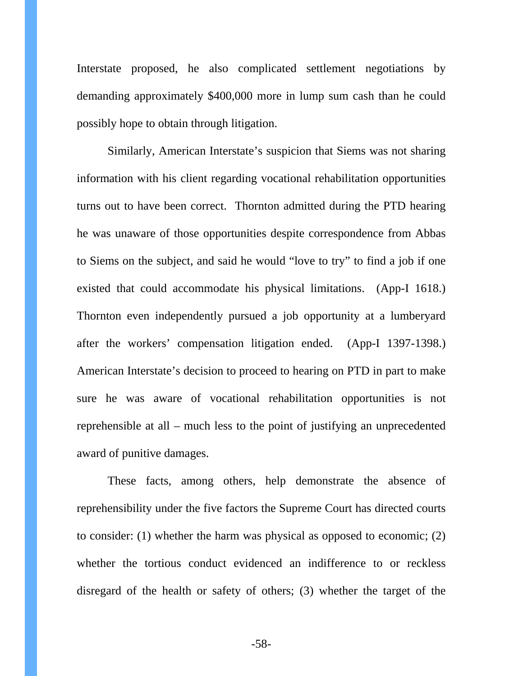Interstate proposed, he also complicated settlement negotiations by demanding approximately \$400,000 more in lump sum cash than he could possibly hope to obtain through litigation.

Similarly, American Interstate's suspicion that Siems was not sharing information with his client regarding vocational rehabilitation opportunities turns out to have been correct.Thornton admitted during the PTD hearing he was unaware of those opportunities despite correspondence from Abbas to Siems on the subject, and said he would "love to try" to find a job if one existed that could accommodate his physical limitations. (App-I 1618.) Thornton even independently pursued a job opportunity at a lumberyard after the workers' compensation litigation ended. (App-I 1397-1398.) American Interstate's decision to proceed to hearing on PTD in part to make sure he was aware of vocational rehabilitation opportunities is not reprehensible at all – much less to the point of justifying an unprecedented award of punitive damages.

These facts, among others, help demonstrate the absence of reprehensibility under the five factors the Supreme Court has directed courts to consider: (1) whether the harm was physical as opposed to economic; (2) whether the tortious conduct evidenced an indifference to or reckless disregard of the health or safety of others; (3) whether the target of the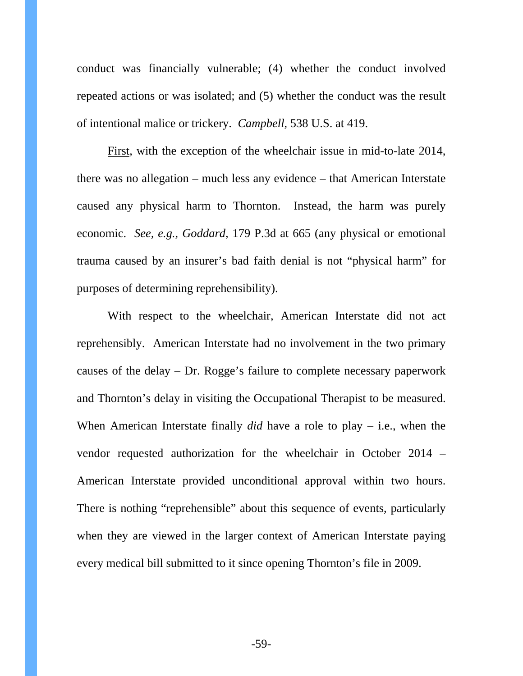conduct was financially vulnerable; (4) whether the conduct involved repeated actions or was isolated; and (5) whether the conduct was the result of intentional malice or trickery. *Campbell*, 538 U.S. at 419.

First, with the exception of the wheelchair issue in mid-to-late 2014, there was no allegation – much less any evidence – that American Interstate caused any physical harm to Thornton. Instead, the harm was purely economic. *See, e.g.*, *Goddard*, 179 P.3d at 665 (any physical or emotional trauma caused by an insurer's bad faith denial is not "physical harm" for purposes of determining reprehensibility).

With respect to the wheelchair, American Interstate did not act reprehensibly. American Interstate had no involvement in the two primary causes of the delay – Dr. Rogge's failure to complete necessary paperwork and Thornton's delay in visiting the Occupational Therapist to be measured. When American Interstate finally *did* have a role to play – i.e., when the vendor requested authorization for the wheelchair in October 2014 – American Interstate provided unconditional approval within two hours. There is nothing "reprehensible" about this sequence of events, particularly when they are viewed in the larger context of American Interstate paying every medical bill submitted to it since opening Thornton's file in 2009.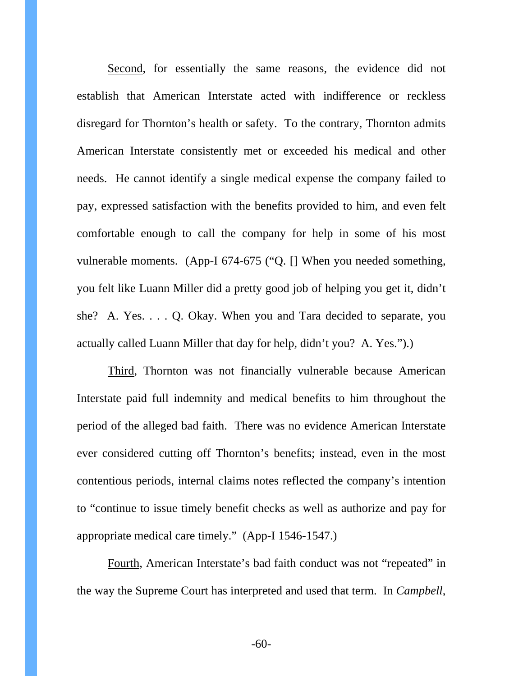Second, for essentially the same reasons, the evidence did not establish that American Interstate acted with indifference or reckless disregard for Thornton's health or safety. To the contrary, Thornton admits American Interstate consistently met or exceeded his medical and other needs. He cannot identify a single medical expense the company failed to pay, expressed satisfaction with the benefits provided to him, and even felt comfortable enough to call the company for help in some of his most vulnerable moments. (App-I 674-675 ("Q. [] When you needed something, you felt like Luann Miller did a pretty good job of helping you get it, didn't she? A. Yes. . . . Q. Okay. When you and Tara decided to separate, you actually called Luann Miller that day for help, didn't you? A. Yes.").)

Third, Thornton was not financially vulnerable because American Interstate paid full indemnity and medical benefits to him throughout the period of the alleged bad faith. There was no evidence American Interstate ever considered cutting off Thornton's benefits; instead, even in the most contentious periods, internal claims notes reflected the company's intention to "continue to issue timely benefit checks as well as authorize and pay for appropriate medical care timely." (App-I 1546-1547.)

Fourth, American Interstate's bad faith conduct was not "repeated" in the way the Supreme Court has interpreted and used that term. In *Campbell*,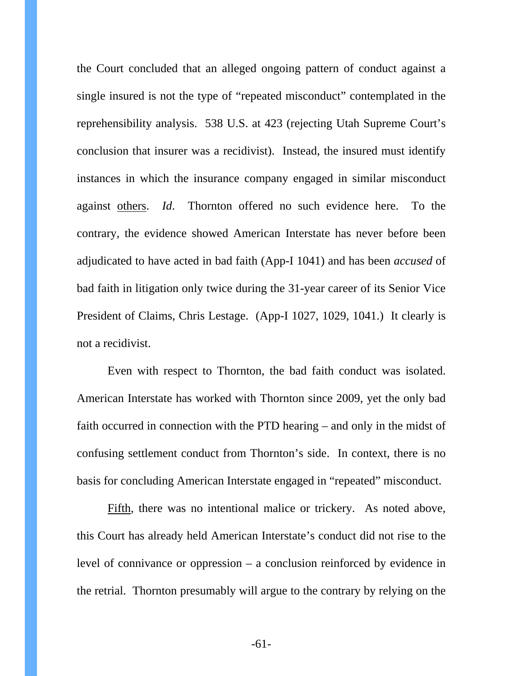the Court concluded that an alleged ongoing pattern of conduct against a single insured is not the type of "repeated misconduct" contemplated in the reprehensibility analysis. 538 U.S. at 423 (rejecting Utah Supreme Court's conclusion that insurer was a recidivist). Instead, the insured must identify instances in which the insurance company engaged in similar misconduct against others. *Id*. Thornton offered no such evidence here. To the contrary, the evidence showed American Interstate has never before been adjudicated to have acted in bad faith (App-I 1041) and has been *accused* of bad faith in litigation only twice during the 31-year career of its Senior Vice President of Claims, Chris Lestage. (App-I 1027, 1029, 1041.) It clearly is not a recidivist.

Even with respect to Thornton, the bad faith conduct was isolated. American Interstate has worked with Thornton since 2009, yet the only bad faith occurred in connection with the PTD hearing – and only in the midst of confusing settlement conduct from Thornton's side. In context, there is no basis for concluding American Interstate engaged in "repeated" misconduct.

Fifth, there was no intentional malice or trickery. As noted above, this Court has already held American Interstate's conduct did not rise to the level of connivance or oppression – a conclusion reinforced by evidence in the retrial. Thornton presumably will argue to the contrary by relying on the

-61-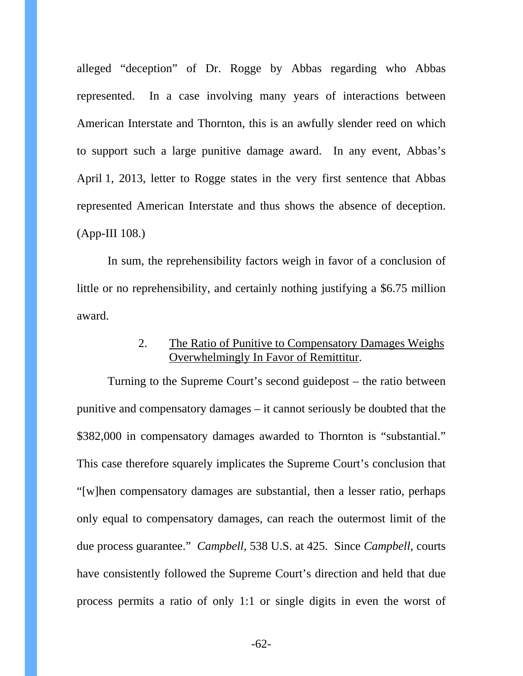alleged "deception" of Dr. Rogge by Abbas regarding who Abbas represented. In a case involving many years of interactions between American Interstate and Thornton, this is an awfully slender reed on which to support such a large punitive damage award. In any event, Abbas's April 1, 2013, letter to Rogge states in the very first sentence that Abbas represented American Interstate and thus shows the absence of deception. (App-III 108.)

In sum, the reprehensibility factors weigh in favor of a conclusion of little or no reprehensibility, and certainly nothing justifying a \$6.75 million award.

## 2. The Ratio of Punitive to Compensatory Damages Weighs Overwhelmingly In Favor of Remittitur.

Turning to the Supreme Court's second guidepost – the ratio between punitive and compensatory damages – it cannot seriously be doubted that the \$382,000 in compensatory damages awarded to Thornton is "substantial." This case therefore squarely implicates the Supreme Court's conclusion that "[w]hen compensatory damages are substantial, then a lesser ratio, perhaps only equal to compensatory damages, can reach the outermost limit of the due process guarantee." *Campbell*, 538 U.S. at 425. Since *Campbell*, courts have consistently followed the Supreme Court's direction and held that due process permits a ratio of only 1:1 or single digits in even the worst of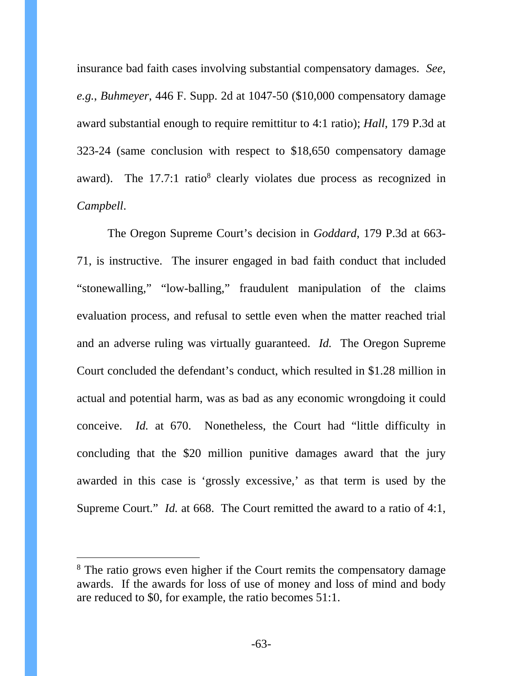insurance bad faith cases involving substantial compensatory damages. *See*, *e.g.*, *Buhmeyer*, 446 F. Supp. 2d at 1047-50 (\$10,000 compensatory damage award substantial enough to require remittitur to 4:1 ratio); *Hall*, 179 P.3d at 323-24 (same conclusion with respect to \$18,650 compensatory damage award). The  $17.7:1$  ratio<sup>8</sup> clearly violates due process as recognized in *Campbell*.

The Oregon Supreme Court's decision in *Goddard*, 179 P.3d at 663- 71, is instructive. The insurer engaged in bad faith conduct that included "stonewalling," "low-balling," fraudulent manipulation of the claims evaluation process, and refusal to settle even when the matter reached trial and an adverse ruling was virtually guaranteed. *Id.* The Oregon Supreme Court concluded the defendant's conduct, which resulted in \$1.28 million in actual and potential harm, was as bad as any economic wrongdoing it could conceive. *Id.* at 670. Nonetheless, the Court had "little difficulty in concluding that the \$20 million punitive damages award that the jury awarded in this case is 'grossly excessive,' as that term is used by the Supreme Court." *Id.* at 668. The Court remitted the award to a ratio of 4:1,

-

<sup>&</sup>lt;sup>8</sup> The ratio grows even higher if the Court remits the compensatory damage awards. If the awards for loss of use of money and loss of mind and body are reduced to \$0, for example, the ratio becomes 51:1.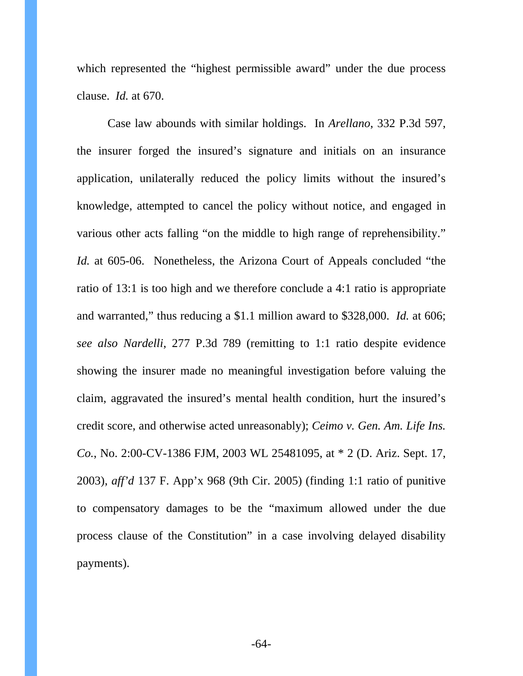which represented the "highest permissible award" under the due process clause. *Id.* at 670.

Case law abounds with similar holdings. In *Arellano*, 332 P.3d 597, the insurer forged the insured's signature and initials on an insurance application, unilaterally reduced the policy limits without the insured's knowledge, attempted to cancel the policy without notice, and engaged in various other acts falling "on the middle to high range of reprehensibility." *Id.* at 605-06. Nonetheless, the Arizona Court of Appeals concluded "the ratio of 13:1 is too high and we therefore conclude a 4:1 ratio is appropriate and warranted," thus reducing a \$1.1 million award to \$328,000. *Id.* at 606; *see also Nardelli*, 277 P.3d 789 (remitting to 1:1 ratio despite evidence showing the insurer made no meaningful investigation before valuing the claim, aggravated the insured's mental health condition, hurt the insured's credit score, and otherwise acted unreasonably); *Ceimo v. Gen. Am. Life Ins. Co.*, No. 2:00-CV-1386 FJM, 2003 WL 25481095, at \* 2 (D. Ariz. Sept. 17, 2003), *aff'd* 137 F. App'x 968 (9th Cir. 2005) (finding 1:1 ratio of punitive to compensatory damages to be the "maximum allowed under the due process clause of the Constitution" in a case involving delayed disability payments).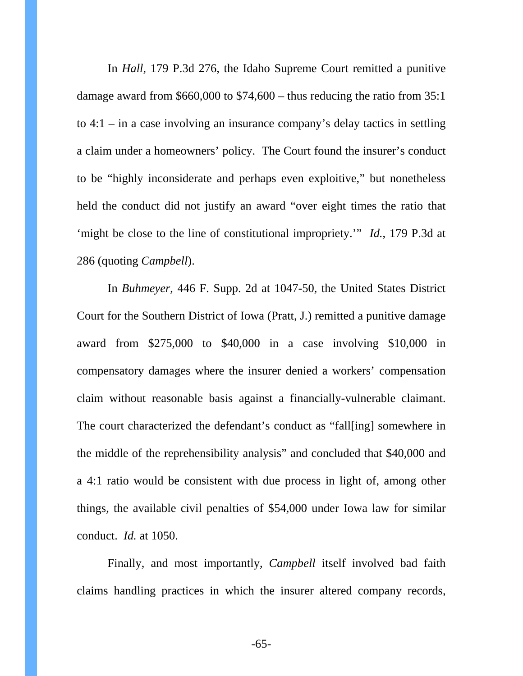In *Hall*, 179 P.3d 276, the Idaho Supreme Court remitted a punitive damage award from \$660,000 to \$74,600 – thus reducing the ratio from 35:1 to 4:1 – in a case involving an insurance company's delay tactics in settling a claim under a homeowners' policy. The Court found the insurer's conduct to be "highly inconsiderate and perhaps even exploitive," but nonetheless held the conduct did not justify an award "over eight times the ratio that 'might be close to the line of constitutional impropriety.'" *Id.*, 179 P.3d at 286 (quoting *Campbell*).

In *Buhmeyer*, 446 F. Supp. 2d at 1047-50, the United States District Court for the Southern District of Iowa (Pratt, J.) remitted a punitive damage award from \$275,000 to \$40,000 in a case involving \$10,000 in compensatory damages where the insurer denied a workers' compensation claim without reasonable basis against a financially-vulnerable claimant. The court characterized the defendant's conduct as "fall[ing] somewhere in the middle of the reprehensibility analysis" and concluded that \$40,000 and a 4:1 ratio would be consistent with due process in light of, among other things, the available civil penalties of \$54,000 under Iowa law for similar conduct. *Id.* at 1050.

Finally, and most importantly, *Campbell* itself involved bad faith claims handling practices in which the insurer altered company records,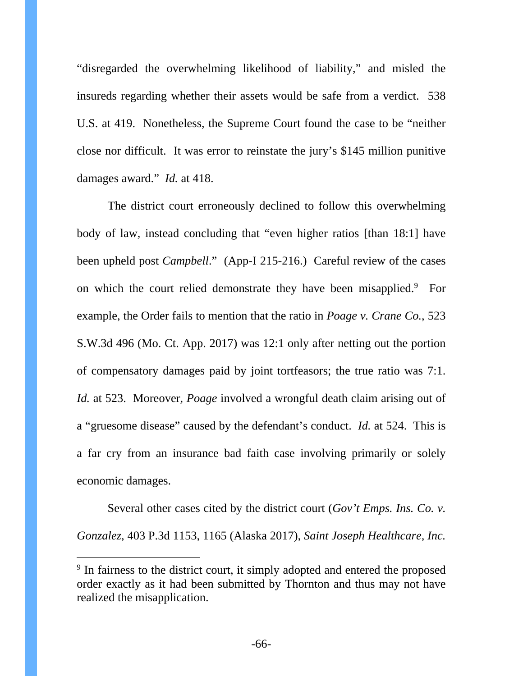"disregarded the overwhelming likelihood of liability," and misled the insureds regarding whether their assets would be safe from a verdict. 538 U.S. at 419. Nonetheless, the Supreme Court found the case to be "neither close nor difficult. It was error to reinstate the jury's \$145 million punitive damages award." *Id.* at 418.

The district court erroneously declined to follow this overwhelming body of law, instead concluding that "even higher ratios [than 18:1] have been upheld post *Campbell*." (App-I 215-216.) Careful review of the cases on which the court relied demonstrate they have been misapplied.<sup>9</sup> For example, the Order fails to mention that the ratio in *Poage v. Crane Co.*, 523 S.W.3d 496 (Mo. Ct. App. 2017) was 12:1 only after netting out the portion of compensatory damages paid by joint tortfeasors; the true ratio was 7:1. *Id.* at 523. Moreover, *Poage* involved a wrongful death claim arising out of a "gruesome disease" caused by the defendant's conduct. *Id.* at 524. This is a far cry from an insurance bad faith case involving primarily or solely economic damages.

Several other cases cited by the district court (*Gov't Emps. Ins. Co. v. Gonzalez*, 403 P.3d 1153, 1165 (Alaska 2017), *Saint Joseph Healthcare, Inc.* 

-

<sup>&</sup>lt;sup>9</sup> In fairness to the district court, it simply adopted and entered the proposed order exactly as it had been submitted by Thornton and thus may not have realized the misapplication.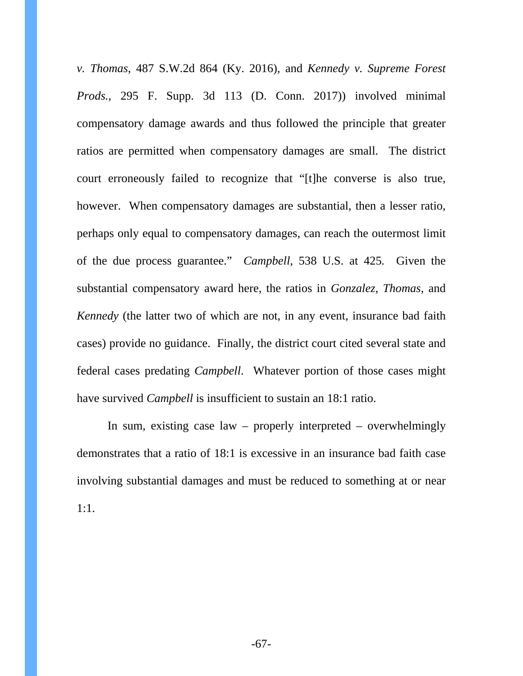*v. Thomas*, 487 S.W.2d 864 (Ky. 2016), and *Kennedy v. Supreme Forest Prods.*, 295 F. Supp. 3d 113 (D. Conn. 2017)) involved minimal compensatory damage awards and thus followed the principle that greater ratios are permitted when compensatory damages are small. The district court erroneously failed to recognize that "[t]he converse is also true, however. When compensatory damages are substantial, then a lesser ratio, perhaps only equal to compensatory damages, can reach the outermost limit of the due process guarantee." *Campbell*, 538 U.S. at 425*.* Given the substantial compensatory award here, the ratios in *Gonzalez*, *Thomas*, and *Kennedy* (the latter two of which are not, in any event, insurance bad faith cases) provide no guidance. Finally, the district court cited several state and federal cases predating *Campbell*. Whatever portion of those cases might have survived *Campbell* is insufficient to sustain an 18:1 ratio.

In sum, existing case law – properly interpreted – overwhelmingly demonstrates that a ratio of 18:1 is excessive in an insurance bad faith case involving substantial damages and must be reduced to something at or near 1:1.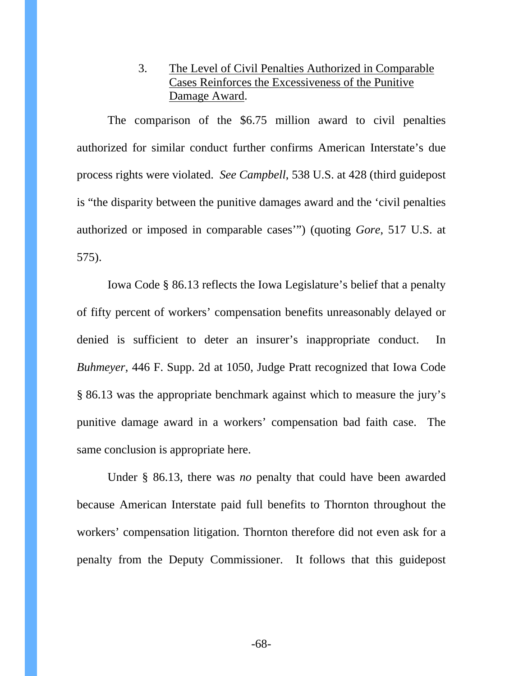# 3. The Level of Civil Penalties Authorized in Comparable Cases Reinforces the Excessiveness of the Punitive Damage Award.

The comparison of the \$6.75 million award to civil penalties authorized for similar conduct further confirms American Interstate's due process rights were violated. *See Campbell*, 538 U.S. at 428 (third guidepost is "the disparity between the punitive damages award and the 'civil penalties authorized or imposed in comparable cases'") (quoting *Gore*, 517 U.S. at 575).

Iowa Code § 86.13 reflects the Iowa Legislature's belief that a penalty of fifty percent of workers' compensation benefits unreasonably delayed or denied is sufficient to deter an insurer's inappropriate conduct. In *Buhmeyer*, 446 F. Supp. 2d at 1050, Judge Pratt recognized that Iowa Code § 86.13 was the appropriate benchmark against which to measure the jury's punitive damage award in a workers' compensation bad faith case. The same conclusion is appropriate here.

Under § 86.13, there was *no* penalty that could have been awarded because American Interstate paid full benefits to Thornton throughout the workers' compensation litigation. Thornton therefore did not even ask for a penalty from the Deputy Commissioner. It follows that this guidepost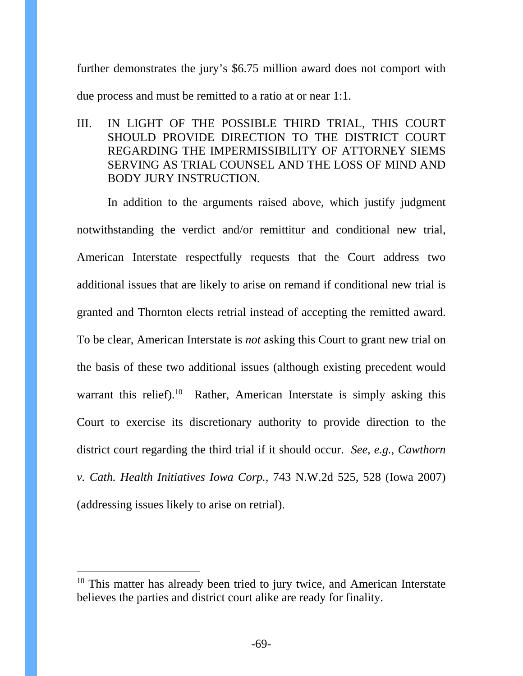further demonstrates the jury's \$6.75 million award does not comport with due process and must be remitted to a ratio at or near 1:1.

III. IN LIGHT OF THE POSSIBLE THIRD TRIAL, THIS COURT SHOULD PROVIDE DIRECTION TO THE DISTRICT COURT REGARDING THE IMPERMISSIBILITY OF ATTORNEY SIEMS SERVING AS TRIAL COUNSEL AND THE LOSS OF MIND AND BODY JURY INSTRUCTION.

In addition to the arguments raised above, which justify judgment notwithstanding the verdict and/or remittitur and conditional new trial, American Interstate respectfully requests that the Court address two additional issues that are likely to arise on remand if conditional new trial is granted and Thornton elects retrial instead of accepting the remitted award. To be clear, American Interstate is *not* asking this Court to grant new trial on the basis of these two additional issues (although existing precedent would warrant this relief).<sup>10</sup> Rather, American Interstate is simply asking this Court to exercise its discretionary authority to provide direction to the district court regarding the third trial if it should occur. *See*, *e.g.*, *Cawthorn v. Cath. Health Initiatives Iowa Corp.*, 743 N.W.2d 525, 528 (Iowa 2007) (addressing issues likely to arise on retrial).

 $\overline{a}$ 

 $10$  This matter has already been tried to jury twice, and American Interstate believes the parties and district court alike are ready for finality.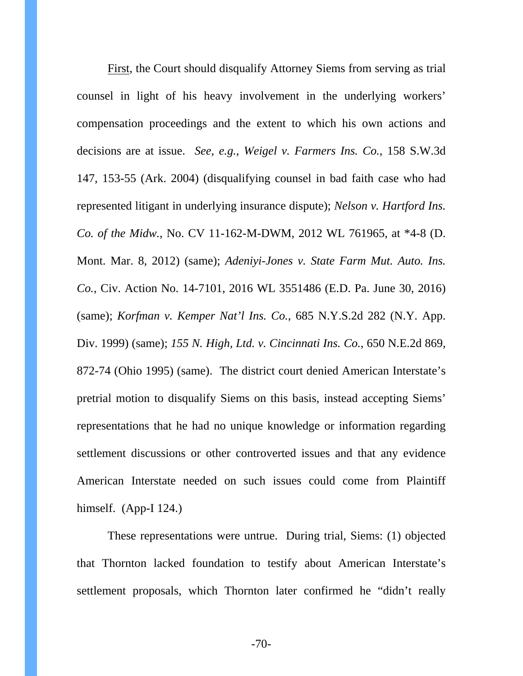First, the Court should disqualify Attorney Siems from serving as trial counsel in light of his heavy involvement in the underlying workers' compensation proceedings and the extent to which his own actions and decisions are at issue. *See, e.g.*, *Weigel v. Farmers Ins. Co.*, 158 S.W.3d 147, 153-55 (Ark. 2004) (disqualifying counsel in bad faith case who had represented litigant in underlying insurance dispute); *Nelson v. Hartford Ins. Co. of the Midw.*, No. CV 11-162-M-DWM, 2012 WL 761965, at \*4-8 (D. Mont. Mar. 8, 2012) (same); *Adeniyi-Jones v. State Farm Mut. Auto. Ins. Co.*, Civ. Action No. 14-7101, 2016 WL 3551486 (E.D. Pa. June 30, 2016) (same); *Korfman v. Kemper Nat'l Ins. Co.*, 685 N.Y.S.2d 282 (N.Y. App. Div. 1999) (same); *155 N. High, Ltd. v. Cincinnati Ins. Co.*, 650 N.E.2d 869, 872-74 (Ohio 1995) (same). The district court denied American Interstate's pretrial motion to disqualify Siems on this basis, instead accepting Siems' representations that he had no unique knowledge or information regarding settlement discussions or other controverted issues and that any evidence American Interstate needed on such issues could come from Plaintiff himself. (App-I 124.)

These representations were untrue. During trial, Siems: (1) objected that Thornton lacked foundation to testify about American Interstate's settlement proposals, which Thornton later confirmed he "didn't really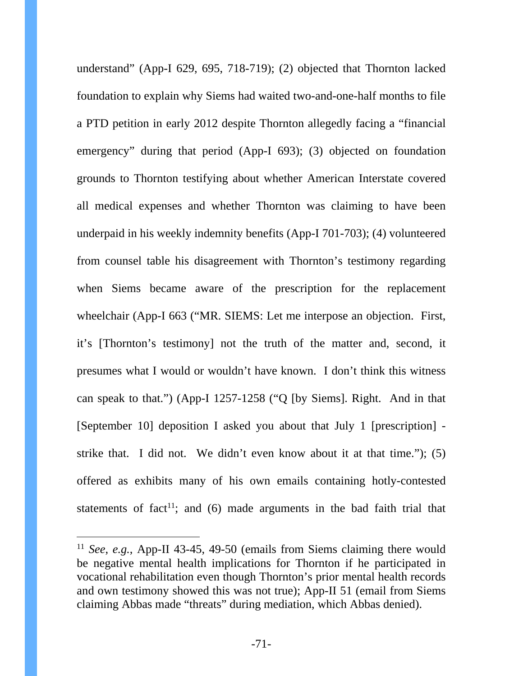understand" (App-I 629, 695, 718-719); (2) objected that Thornton lacked foundation to explain why Siems had waited two-and-one-half months to file a PTD petition in early 2012 despite Thornton allegedly facing a "financial emergency" during that period (App-I 693); (3) objected on foundation grounds to Thornton testifying about whether American Interstate covered all medical expenses and whether Thornton was claiming to have been underpaid in his weekly indemnity benefits (App-I 701-703); (4) volunteered from counsel table his disagreement with Thornton's testimony regarding when Siems became aware of the prescription for the replacement wheelchair (App-I 663 ("MR. SIEMS: Let me interpose an objection. First, it's [Thornton's testimony] not the truth of the matter and, second, it presumes what I would or wouldn't have known. I don't think this witness can speak to that.") (App-I 1257-1258 ("Q [by Siems]. Right. And in that [September 10] deposition I asked you about that July 1 [prescription] strike that. I did not. We didn't even know about it at that time."); (5) offered as exhibits many of his own emails containing hotly-contested statements of fact<sup>11</sup>; and (6) made arguments in the bad faith trial that

-

<sup>11</sup> *See*, *e.g.*, App-II 43-45, 49-50 (emails from Siems claiming there would be negative mental health implications for Thornton if he participated in vocational rehabilitation even though Thornton's prior mental health records and own testimony showed this was not true); App-II 51 (email from Siems claiming Abbas made "threats" during mediation, which Abbas denied).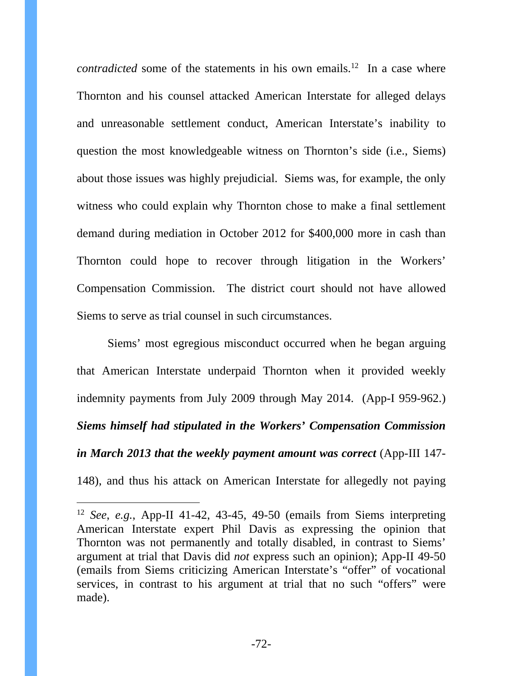*contradicted* some of the statements in his own emails.<sup>12</sup> In a case where Thornton and his counsel attacked American Interstate for alleged delays and unreasonable settlement conduct, American Interstate's inability to question the most knowledgeable witness on Thornton's side (i.e., Siems) about those issues was highly prejudicial. Siems was, for example, the only witness who could explain why Thornton chose to make a final settlement demand during mediation in October 2012 for \$400,000 more in cash than Thornton could hope to recover through litigation in the Workers' Compensation Commission. The district court should not have allowed Siems to serve as trial counsel in such circumstances.

Siems' most egregious misconduct occurred when he began arguing that American Interstate underpaid Thornton when it provided weekly indemnity payments from July 2009 through May 2014. (App-I 959-962.) *Siems himself had stipulated in the Workers' Compensation Commission in March 2013 that the weekly payment amount was correct* (App-III 147- 148), and thus his attack on American Interstate for allegedly not paying

-

<sup>12</sup> *See*, *e.g.*, App-II 41-42, 43-45, 49-50 (emails from Siems interpreting American Interstate expert Phil Davis as expressing the opinion that Thornton was not permanently and totally disabled, in contrast to Siems' argument at trial that Davis did *not* express such an opinion); App-II 49-50 (emails from Siems criticizing American Interstate's "offer" of vocational services, in contrast to his argument at trial that no such "offers" were made).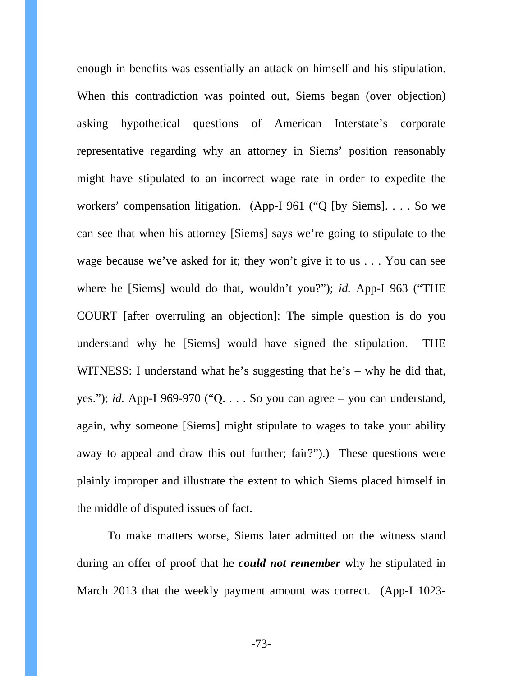enough in benefits was essentially an attack on himself and his stipulation. When this contradiction was pointed out, Siems began (over objection) asking hypothetical questions of American Interstate's corporate representative regarding why an attorney in Siems' position reasonably might have stipulated to an incorrect wage rate in order to expedite the workers' compensation litigation. (App-I 961 ("Q [by Siems]. . . . So we can see that when his attorney [Siems] says we're going to stipulate to the wage because we've asked for it; they won't give it to us . . . You can see where he [Siems] would do that, wouldn't you?"); *id.* App-I 963 ("THE COURT [after overruling an objection]: The simple question is do you understand why he [Siems] would have signed the stipulation. THE WITNESS: I understand what he's suggesting that he's – why he did that, yes."); *id.* App-I 969-970 ("Q. . . . So you can agree – you can understand, again, why someone [Siems] might stipulate to wages to take your ability away to appeal and draw this out further; fair?").) These questions were plainly improper and illustrate the extent to which Siems placed himself in the middle of disputed issues of fact.

To make matters worse, Siems later admitted on the witness stand during an offer of proof that he *could not remember* why he stipulated in March 2013 that the weekly payment amount was correct. (App-I 1023-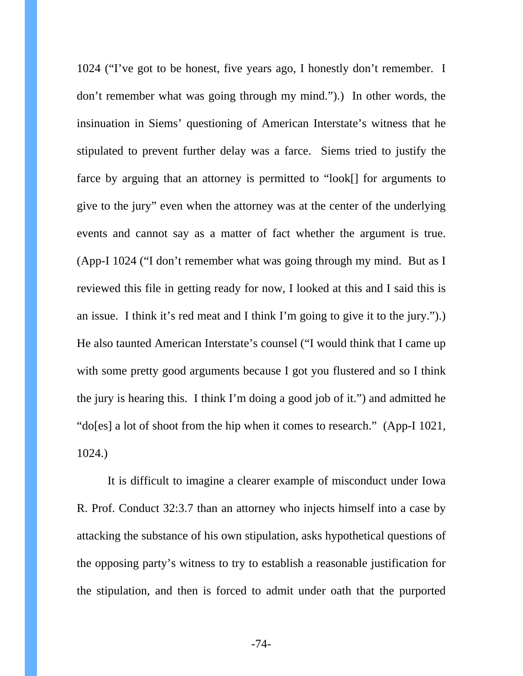1024 ("I've got to be honest, five years ago, I honestly don't remember. I don't remember what was going through my mind.").) In other words, the insinuation in Siems' questioning of American Interstate's witness that he stipulated to prevent further delay was a farce. Siems tried to justify the farce by arguing that an attorney is permitted to "look[] for arguments to give to the jury" even when the attorney was at the center of the underlying events and cannot say as a matter of fact whether the argument is true. (App-I 1024 ("I don't remember what was going through my mind. But as I reviewed this file in getting ready for now, I looked at this and I said this is an issue. I think it's red meat and I think I'm going to give it to the jury.").) He also taunted American Interstate's counsel ("I would think that I came up with some pretty good arguments because I got you flustered and so I think the jury is hearing this. I think I'm doing a good job of it.") and admitted he "do[es] a lot of shoot from the hip when it comes to research." (App-I 1021, 1024.)

It is difficult to imagine a clearer example of misconduct under Iowa R. Prof. Conduct 32:3.7 than an attorney who injects himself into a case by attacking the substance of his own stipulation, asks hypothetical questions of the opposing party's witness to try to establish a reasonable justification for the stipulation, and then is forced to admit under oath that the purported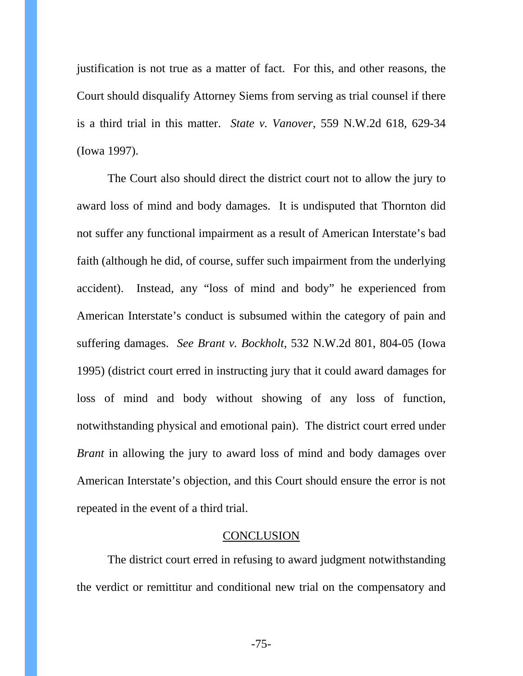justification is not true as a matter of fact. For this, and other reasons, the Court should disqualify Attorney Siems from serving as trial counsel if there is a third trial in this matter. *State v. Vanover*, 559 N.W.2d 618, 629-34 (Iowa 1997).

The Court also should direct the district court not to allow the jury to award loss of mind and body damages. It is undisputed that Thornton did not suffer any functional impairment as a result of American Interstate's bad faith (although he did, of course, suffer such impairment from the underlying accident). Instead, any "loss of mind and body" he experienced from American Interstate's conduct is subsumed within the category of pain and suffering damages. *See Brant v. Bockholt*, 532 N.W.2d 801, 804-05 (Iowa 1995) (district court erred in instructing jury that it could award damages for loss of mind and body without showing of any loss of function, notwithstanding physical and emotional pain). The district court erred under *Brant* in allowing the jury to award loss of mind and body damages over American Interstate's objection, and this Court should ensure the error is not repeated in the event of a third trial.

#### **CONCLUSION**

The district court erred in refusing to award judgment notwithstanding the verdict or remittitur and conditional new trial on the compensatory and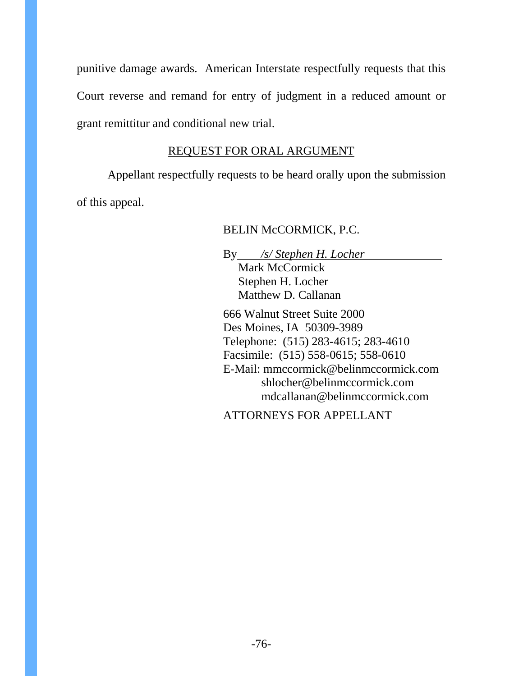punitive damage awards. American Interstate respectfully requests that this Court reverse and remand for entry of judgment in a reduced amount or grant remittitur and conditional new trial.

# REQUEST FOR ORAL ARGUMENT

Appellant respectfully requests to be heard orally upon the submission of this appeal.

# BELIN McCORMICK, P.C.

By */s/ Stephen H. Locher* Mark McCormick Stephen H. Locher Matthew D. Callanan

666 Walnut Street Suite 2000 Des Moines, IA 50309-3989 Telephone: (515) 283-4615; 283-4610 Facsimile: (515) 558-0615; 558-0610 E-Mail: mmccormick@belinmccormick.com shlocher@belinmccormick.com mdcallanan@belinmccormick.com

ATTORNEYS FOR APPELLANT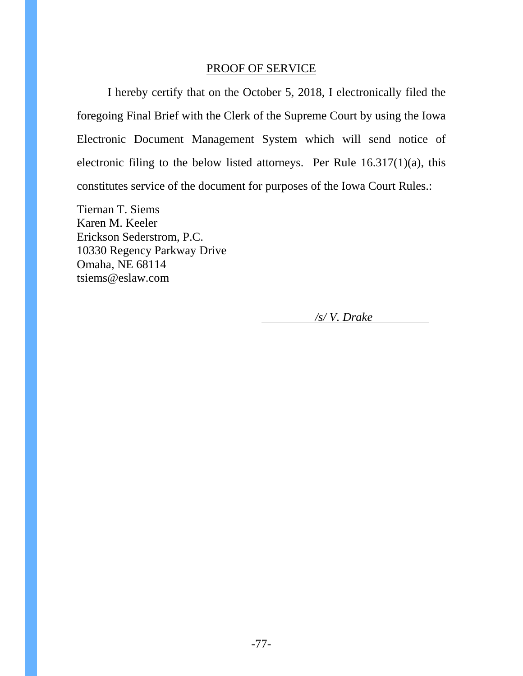### PROOF OF SERVICE

I hereby certify that on the October 5, 2018, I electronically filed the foregoing Final Brief with the Clerk of the Supreme Court by using the Iowa Electronic Document Management System which will send notice of electronic filing to the below listed attorneys. Per Rule 16.317(1)(a), this constitutes service of the document for purposes of the Iowa Court Rules.:

Tiernan T. Siems Karen M. Keeler Erickson Sederstrom, P.C. 10330 Regency Parkway Drive Omaha, NE 68114 tsiems@eslaw.com

*/s/ V. Drake*